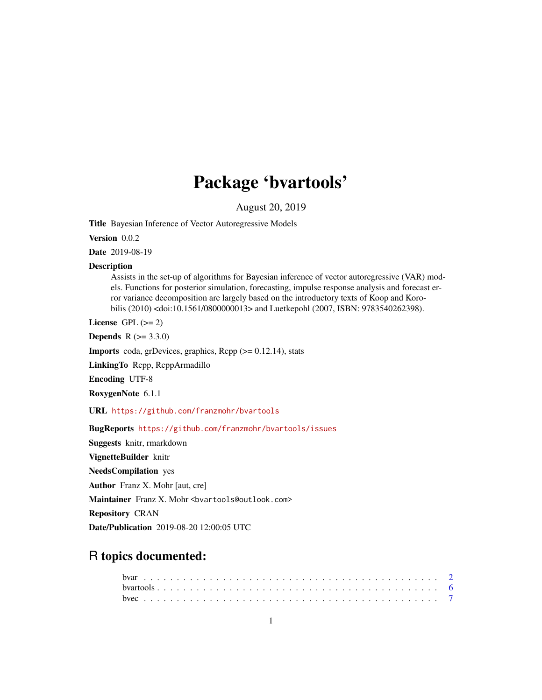# Package 'bvartools'

August 20, 2019

Title Bayesian Inference of Vector Autoregressive Models

Version 0.0.2

Date 2019-08-19

#### Description

Assists in the set-up of algorithms for Bayesian inference of vector autoregressive (VAR) models. Functions for posterior simulation, forecasting, impulse response analysis and forecast error variance decomposition are largely based on the introductory texts of Koop and Korobilis (2010) <doi:10.1561/0800000013> and Luetkepohl (2007, ISBN: 9783540262398).

License GPL  $(>= 2)$ 

**Depends**  $R (= 3.3.0)$ 

**Imports** coda, grDevices, graphics,  $\text{Rcpp}$  ( $>= 0.12.14$ ), stats

LinkingTo Rcpp, RcppArmadillo

Encoding UTF-8

RoxygenNote 6.1.1

URL <https://github.com/franzmohr/bvartools>

BugReports <https://github.com/franzmohr/bvartools/issues>

Suggests knitr, rmarkdown

VignetteBuilder knitr

NeedsCompilation yes

Author Franz X. Mohr [aut, cre]

Maintainer Franz X. Mohr <br/>bvartools@outlook.com>

Repository CRAN

Date/Publication 2019-08-20 12:00:05 UTC

# R topics documented: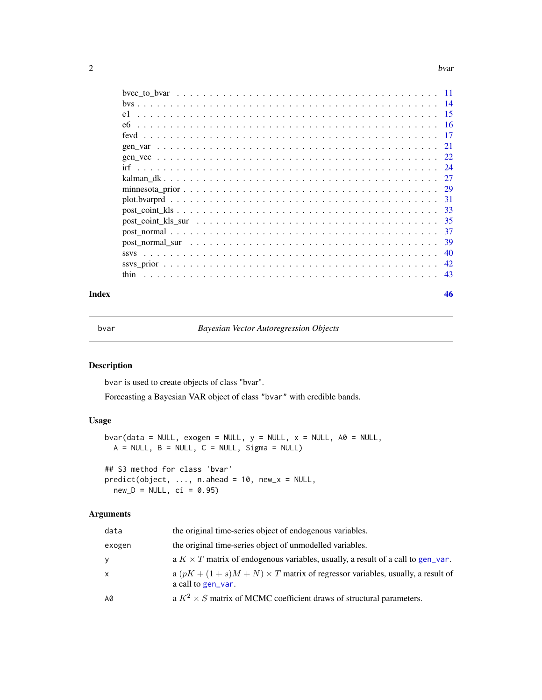#### <span id="page-1-0"></span> $2$

|      |                                                                                                              |  |  |  |  |  |  |  |  |  |  |  |  |  |  | -14  |
|------|--------------------------------------------------------------------------------------------------------------|--|--|--|--|--|--|--|--|--|--|--|--|--|--|------|
|      |                                                                                                              |  |  |  |  |  |  |  |  |  |  |  |  |  |  | -15  |
| eб   |                                                                                                              |  |  |  |  |  |  |  |  |  |  |  |  |  |  | - 16 |
|      |                                                                                                              |  |  |  |  |  |  |  |  |  |  |  |  |  |  | - 17 |
|      |                                                                                                              |  |  |  |  |  |  |  |  |  |  |  |  |  |  | 21   |
|      |                                                                                                              |  |  |  |  |  |  |  |  |  |  |  |  |  |  |      |
|      |                                                                                                              |  |  |  |  |  |  |  |  |  |  |  |  |  |  |      |
|      |                                                                                                              |  |  |  |  |  |  |  |  |  |  |  |  |  |  | 27   |
|      |                                                                                                              |  |  |  |  |  |  |  |  |  |  |  |  |  |  | 29   |
|      |                                                                                                              |  |  |  |  |  |  |  |  |  |  |  |  |  |  | -31  |
|      |                                                                                                              |  |  |  |  |  |  |  |  |  |  |  |  |  |  | -33  |
|      |                                                                                                              |  |  |  |  |  |  |  |  |  |  |  |  |  |  | -35  |
|      |                                                                                                              |  |  |  |  |  |  |  |  |  |  |  |  |  |  | 37   |
|      | post normal sur $\ldots \ldots \ldots \ldots \ldots \ldots \ldots \ldots \ldots \ldots \ldots \ldots \ldots$ |  |  |  |  |  |  |  |  |  |  |  |  |  |  | 39   |
|      |                                                                                                              |  |  |  |  |  |  |  |  |  |  |  |  |  |  | 40   |
|      |                                                                                                              |  |  |  |  |  |  |  |  |  |  |  |  |  |  | 42   |
| thin |                                                                                                              |  |  |  |  |  |  |  |  |  |  |  |  |  |  | 43   |
|      |                                                                                                              |  |  |  |  |  |  |  |  |  |  |  |  |  |  |      |

#### **Index a** set of the set of the set of the set of the set of the set of the set of the set of the set of the set of the set of the set of the set of the set of the set of the set of the set of the set of the set of the s

<span id="page-1-1"></span>

bvar *Bayesian Vector Autoregression Objects*

# <span id="page-1-2"></span>Description

bvar is used to create objects of class "bvar".

Forecasting a Bayesian VAR object of class "bvar" with credible bands.

# Usage

```
bvar(data = NULL, exogen = NULL, y = NULL, x = NULL, A0 = NULL,
 A = NULL, B = NULL, C = NULL, Sigma = NULL## S3 method for class 'bvar'
predict(object, ..., n.ahead = 10, new_x = NULL,
 new_D = NULL, ci = 0.95)
```
# Arguments

| data   | the original time-series object of endogenous variables.                                                   |
|--------|------------------------------------------------------------------------------------------------------------|
| exogen | the original time-series object of unmodelled variables.                                                   |
| y      | a $K \times T$ matrix of endogenous variables, usually, a result of a call to gen_var.                     |
| x      | a $(pK + (1 + s)M + N) \times T$ matrix of regressor variables, usually, a result of<br>a call to gen var. |
| A0     | a $K^2 \times S$ matrix of MCMC coefficient draws of structural parameters.                                |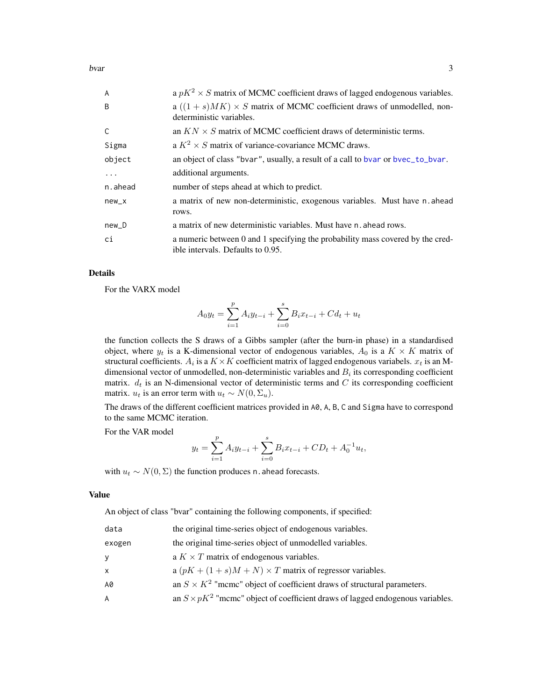<span id="page-2-0"></span>bvar 3

| a $pK^2 \times S$ matrix of MCMC coefficient draws of lagged endogenous variables.                                  |
|---------------------------------------------------------------------------------------------------------------------|
| a $((1 + s)MK) \times S$ matrix of MCMC coefficient draws of unmodelled, non-<br>deterministic variables.           |
| an $KN \times S$ matrix of MCMC coefficient draws of deterministic terms.                                           |
| a $K^2 \times S$ matrix of variance-covariance MCMC draws.                                                          |
| an object of class "bvar", usually, a result of a call to bvar or bvec_to_bvar.                                     |
| additional arguments.                                                                                               |
| number of steps ahead at which to predict.                                                                          |
| a matrix of new non-deterministic, exogenous variables. Must have n.ahead<br>rows.                                  |
| a matrix of new deterministic variables. Must have n ahead rows.                                                    |
| a numeric between 0 and 1 specifying the probability mass covered by the cred-<br>ible intervals. Defaults to 0.95. |
|                                                                                                                     |

# Details

For the VARX model

$$
A_0 y_t = \sum_{i=1}^p A_i y_{t-i} + \sum_{i=0}^s B_i x_{t-i} + C d_t + u_t
$$

the function collects the S draws of a Gibbs sampler (after the burn-in phase) in a standardised object, where  $y_t$  is a K-dimensional vector of endogenous variables,  $A_0$  is a  $K \times K$  matrix of structural coefficients.  $A_i$  is a  $K \times K$  coefficient matrix of lagged endogenous variabels.  $x_t$  is an Mdimensional vector of unmodelled, non-deterministic variables and  $B_i$  its corresponding coefficient matrix.  $d_t$  is an N-dimensional vector of deterministic terms and C its corresponding coefficient matrix.  $u_t$  is an error term with  $u_t \sim N(0, \Sigma_u)$ .

The draws of the different coefficient matrices provided in A0, A, B, C and Sigma have to correspond to the same MCMC iteration.

For the VAR model

$$
y_t = \sum_{i=1}^p A_i y_{t-i} + \sum_{i=0}^s B_i x_{t-i} + CD_t + A_0^{-1} u_t,
$$

with  $u_t \sim N(0, \Sigma)$  the function produces n. ahead forecasts.

# Value

An object of class "bvar" containing the following components, if specified:

| data   | the original time-series object of endogenous variables.                              |
|--------|---------------------------------------------------------------------------------------|
| exogen | the original time-series object of unmodelled variables.                              |
| V      | a $K \times T$ matrix of endogenous variables.                                        |
| X.     | a $(pK + (1 + s)M + N) \times T$ matrix of regressor variables.                       |
| А0     | an $S \times K^2$ "mcmc" object of coefficient draws of structural parameters.        |
| A      | an $S \times pK^2$ "mcmc" object of coefficient draws of lagged endogenous variables. |
|        |                                                                                       |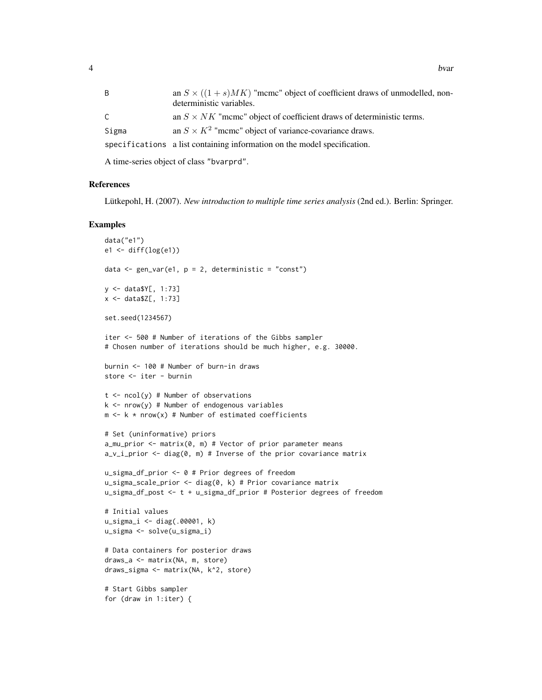| an $S \times ((1+s)MK)$ "meme" object of coefficient draws of unmodelled, non-<br>deterministic variables. |
|------------------------------------------------------------------------------------------------------------|
| an $S \times NK$ "meme" object of coefficient draws of deterministic terms.                                |
| an $S \times K^2$ "meme" object of variance-covariance draws.                                              |
| specifications a list containing information on the model specification.                                   |
|                                                                                                            |

A time-series object of class "bvarprd".

# References

Lütkepohl, H. (2007). *New introduction to multiple time series analysis* (2nd ed.). Berlin: Springer.

```
data("e1")
e1 <- diff(log(e1))
data \leq gen_var(e1, p = 2, deterministic = "const")
y <- data$Y[, 1:73]
x <- data$Z[, 1:73]
set.seed(1234567)
iter <- 500 # Number of iterations of the Gibbs sampler
# Chosen number of iterations should be much higher, e.g. 30000.
burnin <- 100 # Number of burn-in draws
store <- iter - burnin
t \le -\text{ncol}(y) # Number of observations
k \le - nrow(y) # Number of endogenous variables
m \leq k \times nrow(x) # Number of estimated coefficients
# Set (uninformative) priors
a_mu_prior <- matrix(0, m) # Vector of prior parameter means
a_v_i_prior <- diag(0, m) # Inverse of the prior covariance matrix
u_sigma_df_prior <- 0 # Prior degrees of freedom
u_sigma_scale_prior <- diag(0, k) # Prior covariance matrix
u_sigma_df_post <- t + u_sigma_df_prior # Posterior degrees of freedom
# Initial values
u_sigma_i <- diag(.00001, k)
u_sigma <- solve(u_sigma_i)
# Data containers for posterior draws
draws_a <- matrix(NA, m, store)
draws_sigma <- matrix(NA, k^2, store)
# Start Gibbs sampler
for (draw in 1:iter) {
```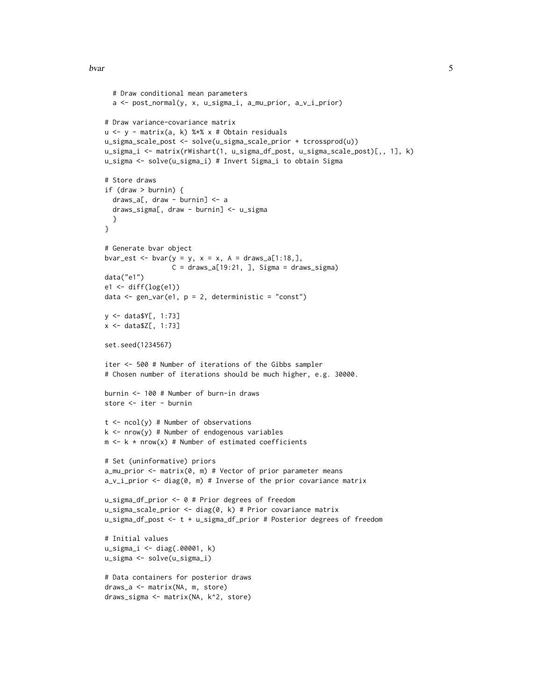#### bvar 5

```
# Draw conditional mean parameters
  a <- post_normal(y, x, u_sigma_i, a_mu_prior, a_v_i_prior)
# Draw variance-covariance matrix
u <- y - matrix(a, k) %*% x # Obtain residuals
u_sigma_scale_post <- solve(u_sigma_scale_prior + tcrossprod(u))
u_sigma_i <- matrix(rWishart(1, u_sigma_df_post, u_sigma_scale_post)[,, 1], k)
u_sigma <- solve(u_sigma_i) # Invert Sigma_i to obtain Sigma
# Store draws
if (draw > burnin) {
  draws_a[, draw - burnin] <- a
  draws_sigma[, draw - burnin] <- u_sigma
  }
}
# Generate bvar object
bvar_est <- bvar(y = y, x = x, A = draws_a[1:18,],
                 C = \text{draws}_a[19:21, ], Sigma = draws_sigma)
data("e1")
e1 \leftarrow diff(log(e1))data \leq gen_var(e1, p = 2, deterministic = "const")
y <- data$Y[, 1:73]
x <- data$Z[, 1:73]
set.seed(1234567)
iter <- 500 # Number of iterations of the Gibbs sampler
# Chosen number of iterations should be much higher, e.g. 30000.
burnin <- 100 # Number of burn-in draws
store <- iter - burnin
t \le -\text{ncol}(y) # Number of observations
k \le - nrow(y) # Number of endogenous variables
m \leq k \times nrow(x) # Number of estimated coefficients
# Set (uninformative) priors
a_mu_prior \leq matrix(0, m) # Vector of prior parameter means
a_v_i-prior \leq diag(0, m) # Inverse of the prior covariance matrix
u_sigma_df_prior <- 0 # Prior degrees of freedom
u_sigma_scale_prior <- diag(0, k) # Prior covariance matrix
u_sigma_df_post <- t + u_sigma_df_prior # Posterior degrees of freedom
# Initial values
u_sigma_i <- diag(.00001, k)
u_sigma <- solve(u_sigma_i)
# Data containers for posterior draws
draws_a <- matrix(NA, m, store)
draws_sigma <- matrix(NA, k^2, store)
```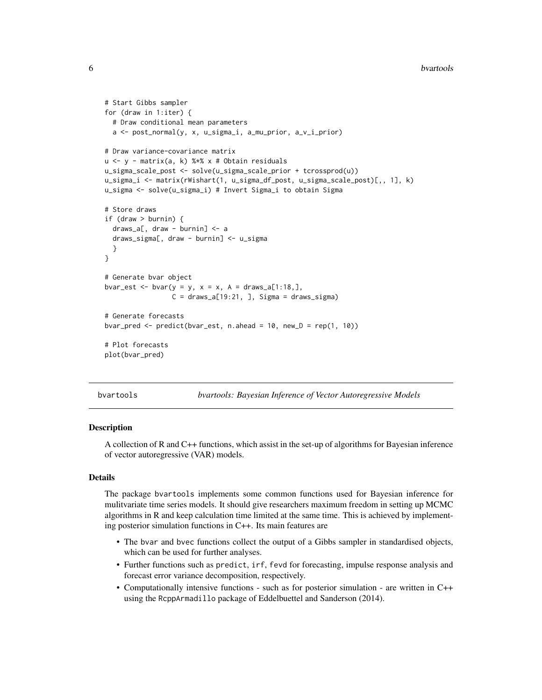```
# Start Gibbs sampler
for (draw in 1:iter) {
 # Draw conditional mean parameters
 a <- post_normal(y, x, u_sigma_i, a_mu_prior, a_v_i_prior)
# Draw variance-covariance matrix
u <- y - matrix(a, k) %*% x # Obtain residuals
u_sigma_scale_post <- solve(u_sigma_scale_prior + tcrossprod(u))
u_sigma_i <- matrix(rWishart(1, u_sigma_df_post, u_sigma_scale_post)[,, 1], k)
u_sigma <- solve(u_sigma_i) # Invert Sigma_i to obtain Sigma
# Store draws
if (draw > burnin) {
 draws_a[, draw - burnin] <- a
 draws_sigma[, draw - burnin] <- u_sigma
 }
}
# Generate bvar object
bvar_est <- bvar(y = y, x = x, A = \text{draws}_a[1:18,],C = \text{draws}_a[19:21, ], Sigma = draws_sigma)
# Generate forecasts
bvar_pred <- predict(bvar_set, n. ahead = 10, new_D = rep(1, 10))# Plot forecasts
plot(bvar_pred)
```
bvartools *bvartools: Bayesian Inference of Vector Autoregressive Models*

## Description

A collection of R and C++ functions, which assist in the set-up of algorithms for Bayesian inference of vector autoregressive (VAR) models.

#### Details

The package bvartools implements some common functions used for Bayesian inference for mulitvariate time series models. It should give researchers maximum freedom in setting up MCMC algorithms in R and keep calculation time limited at the same time. This is achieved by implementing posterior simulation functions in C++. Its main features are

- The bvar and bvec functions collect the output of a Gibbs sampler in standardised objects, which can be used for further analyses.
- Further functions such as predict, irf, fevd for forecasting, impulse response analysis and forecast error variance decomposition, respectively.
- Computationally intensive functions such as for posterior simulation are written in C++ using the RcppArmadillo package of Eddelbuettel and Sanderson (2014).

<span id="page-5-0"></span>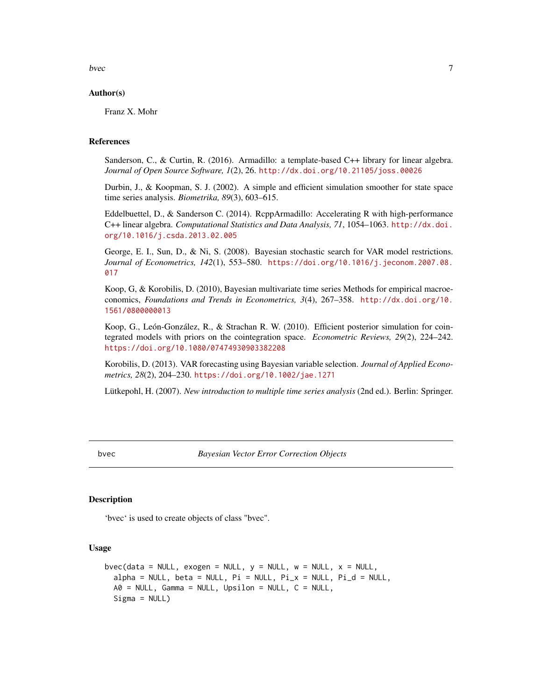<span id="page-6-0"></span>bvec 7

# Author(s)

Franz X. Mohr

# References

Sanderson, C., & Curtin, R. (2016). Armadillo: a template-based C++ library for linear algebra. *Journal of Open Source Software, 1*(2), 26. <http://dx.doi.org/10.21105/joss.00026>

Durbin, J., & Koopman, S. J. (2002). A simple and efficient simulation smoother for state space time series analysis. *Biometrika, 89*(3), 603–615.

Eddelbuettel, D., & Sanderson C. (2014). RcppArmadillo: Accelerating R with high-performance C++ linear algebra. *Computational Statistics and Data Analysis, 71*, 1054–1063. [http://dx.doi.](http://dx.doi.org/10.1016/j.csda.2013.02.005) [org/10.1016/j.csda.2013.02.005](http://dx.doi.org/10.1016/j.csda.2013.02.005)

George, E. I., Sun, D., & Ni, S. (2008). Bayesian stochastic search for VAR model restrictions. *Journal of Econometrics, 142*(1), 553–580. [https://doi.org/10.1016/j.jeconom.2007.08.](https://doi.org/10.1016/j.jeconom.2007.08.017) [017](https://doi.org/10.1016/j.jeconom.2007.08.017)

Koop, G, & Korobilis, D. (2010), Bayesian multivariate time series Methods for empirical macroeconomics, *Foundations and Trends in Econometrics, 3*(4), 267–358. [http://dx.doi.org/10.](http://dx.doi.org/10.1561/0800000013) [1561/0800000013](http://dx.doi.org/10.1561/0800000013)

Koop, G., León-González, R., & Strachan R. W. (2010). Efficient posterior simulation for cointegrated models with priors on the cointegration space. *Econometric Reviews, 29*(2), 224–242. <https://doi.org/10.1080/07474930903382208>

Korobilis, D. (2013). VAR forecasting using Bayesian variable selection. *Journal of Applied Econometrics, 28*(2), 204–230. <https://doi.org/10.1002/jae.1271>

Lütkepohl, H. (2007). *New introduction to multiple time series analysis* (2nd ed.). Berlin: Springer.

bvec *Bayesian Vector Error Correction Objects*

#### **Description**

'bvec' is used to create objects of class "bvec".

### Usage

```
bvec(data = NULL, exogen = NULL, y = NULL, w = NULL, x = NULL,
  alpha = NULL, beta = NULL, Pi = NULL, Pi_x = NULL, Pi_y = NULLA\emptyset = NULL, Gamma = NULL, Upsilon = NULL, C = NULL,
  Sigma = NULL)
```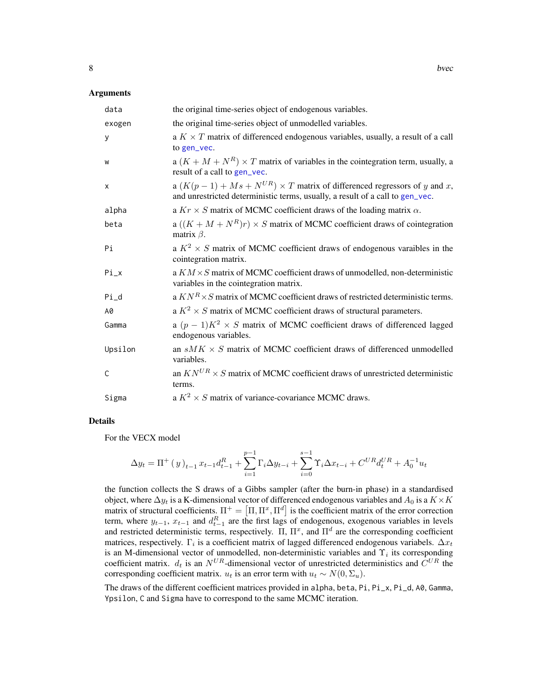#### <span id="page-7-0"></span>Arguments

| data    | the original time-series object of endogenous variables.                                                                                                          |
|---------|-------------------------------------------------------------------------------------------------------------------------------------------------------------------|
| exogen  | the original time-series object of unmodelled variables.                                                                                                          |
| У       | a $K \times T$ matrix of differenced endogenous variables, usually, a result of a call<br>to gen_vec.                                                             |
| W       | a $(K + M + N^R) \times T$ matrix of variables in the cointegration term, usually, a<br>result of a call to gen_vec.                                              |
| X       | a $(K(p-1) + Ms + N^{UR}) \times T$ matrix of differenced regressors of y and x,<br>and unrestricted deterministic terms, usually, a result of a call to gen_vec. |
| alpha   | a $Kr \times S$ matrix of MCMC coefficient draws of the loading matrix $\alpha$ .                                                                                 |
| beta    | a $((K + M + N^R)r) \times S$ matrix of MCMC coefficient draws of cointegration<br>matrix $\beta$ .                                                               |
| Pi      | a $K^2 \times S$ matrix of MCMC coefficient draws of endogenous varaibles in the<br>cointegration matrix.                                                         |
| $Pi_x$  | a $KM \times S$ matrix of MCMC coefficient draws of unmodelled, non-deterministic<br>variables in the cointegration matrix.                                       |
| Pi_d    | a $KN^R \times S$ matrix of MCMC coefficient draws of restricted deterministic terms.                                                                             |
| A0      | a $K^2 \times S$ matrix of MCMC coefficient draws of structural parameters.                                                                                       |
| Gamma   | a $(p-1)K^2 \times S$ matrix of MCMC coefficient draws of differenced lagged<br>endogenous variables.                                                             |
| Upsilon | an $sMK \times S$ matrix of MCMC coefficient draws of differenced unmodelled<br>variables.                                                                        |
| C       | an $KN^{UR} \times S$ matrix of MCMC coefficient draws of unrestricted deterministic<br>terms.                                                                    |
| Sigma   | a $K^2 \times S$ matrix of variance-covariance MCMC draws.                                                                                                        |

#### Details

For the VECX model

$$
\Delta y_t = \Pi^+(y)_{t-1} x_{t-1} d_{t-1}^R + \sum_{i=1}^{p-1} \Gamma_i \Delta y_{t-i} + \sum_{i=0}^{s-1} \Upsilon_i \Delta x_{t-i} + C^{UR} d_t^{UR} + A_0^{-1} u_t
$$

the function collects the S draws of a Gibbs sampler (after the burn-in phase) in a standardised object, where  $\Delta y_t$  is a K-dimensional vector of differenced endogenous variables and  $A_0$  is a  $K \times K$ matrix of structural coefficients.  $\Pi^+ = [\Pi, \Pi^x, \Pi^d]$  is the coefficient matrix of the error correction term, where  $y_{t-1}$ ,  $x_{t-1}$  and  $d_{t-1}^R$  are the first lags of endogenous, exogenous variables in levels and restricted deterministic terms, respectively.  $\Pi$ ,  $\Pi^x$ , and  $\Pi^d$  are the corresponding coefficient matrices, respectively.  $\Gamma_i$  is a coefficient matrix of lagged differenced endogenous variabels.  $\Delta x_t$ is an M-dimensional vector of unmodelled, non-deterministic variables and  $\Upsilon_i$  its corresponding coefficient matrix.  $d_t$  is an  $N^{UR}$ -dimensional vector of unrestricted deterministics and  $C^{UR}$  the corresponding coefficient matrix.  $u_t$  is an error term with  $u_t \sim N(0, \Sigma_u)$ .

The draws of the different coefficient matrices provided in alpha, beta, Pi, Pi\_x, Pi\_d, A0, Gamma, Ypsilon, C and Sigma have to correspond to the same MCMC iteration.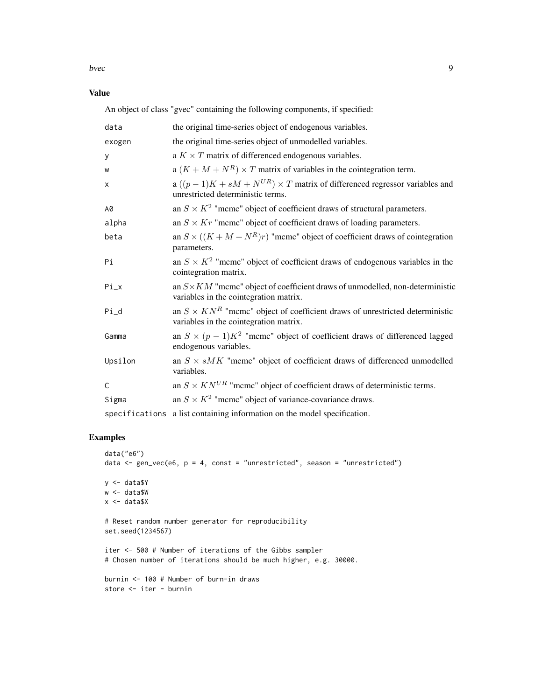bvec 99

Value

An object of class "gvec" containing the following components, if specified:

| data           | the original time-series object of endogenous variables.                                                                       |
|----------------|--------------------------------------------------------------------------------------------------------------------------------|
| exogen         | the original time-series object of unmodelled variables.                                                                       |
| У              | a $K \times T$ matrix of differenced endogenous variables.                                                                     |
| W              | a $(K + M + N^R) \times T$ matrix of variables in the cointegration term.                                                      |
| X              | a $((p-1)K + sM + N^{UR}) \times T$ matrix of differenced regressor variables and<br>unrestricted deterministic terms.         |
| A0             | an $S \times K^2$ "mcmc" object of coefficient draws of structural parameters.                                                 |
| alpha          | an $S \times Kr$ "mcmc" object of coefficient draws of loading parameters.                                                     |
| beta           | an $S \times ((K + M + N^R)r)$ "mcmc" object of coefficient draws of cointegration<br>parameters.                              |
| Pi             | an $S \times K^2$ "mcmc" object of coefficient draws of endogenous variables in the<br>cointegration matrix.                   |
| $Pi_x$         | an $S \times KM$ "mcmc" object of coefficient draws of unmodelled, non-deterministic<br>variables in the cointegration matrix. |
| $Pi_d$         | an $S \times KN^R$ "mcmc" object of coefficient draws of unrestricted deterministic<br>variables in the cointegration matrix.  |
| Gamma          | an $S \times (p-1)K^2$ "mcmc" object of coefficient draws of differenced lagged<br>endogenous variables.                       |
| Upsilon        | an $S \times sMK$ "mcmc" object of coefficient draws of differenced unmodelled<br>variables.                                   |
| C              | an $S \times KN^{UR}$ "mcmc" object of coefficient draws of deterministic terms.                                               |
| Sigma          | an $S \times K^2$ "mcmc" object of variance-covariance draws.                                                                  |
| specifications | a list containing information on the model specification.                                                                      |

```
data("e6")
data \le gen_vec(e6, p = 4, const = "unrestricted", season = "unrestricted")
y <- data$Y
w <- data$W
x <- data$X
# Reset random number generator for reproducibility
set.seed(1234567)
iter <- 500 # Number of iterations of the Gibbs sampler
# Chosen number of iterations should be much higher, e.g. 30000.
burnin <- 100 # Number of burn-in draws
store <- iter - burnin
```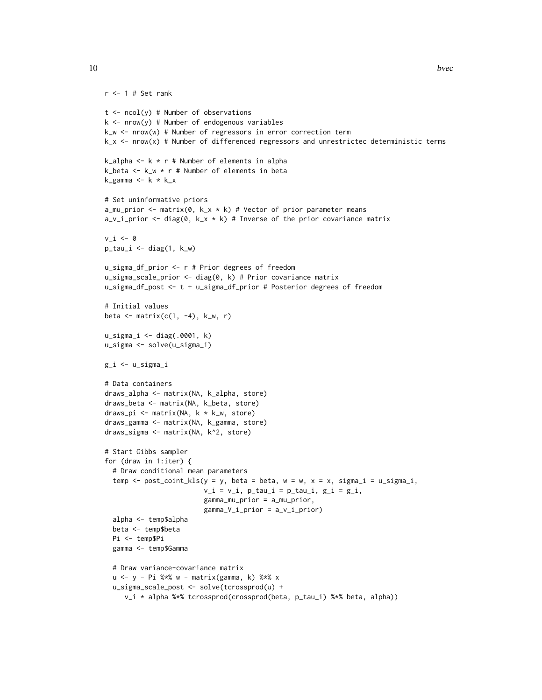```
r <- 1 # Set rank
t \le -\text{ncol}(y) # Number of observations
k \le - nrow(y) # Number of endogenous variables
k_w <- nrow(w) # Number of regressors in error correction term
k_x <- nrow(x) # Number of differenced regressors and unrestrictec deterministic terms
k_alpha \leq k \star r # Number of elements in alpha
k_beta <- k_w * r # Number of elements in beta
k_{\text{gamma}} \leq -k \times k_{\text{max}}# Set uninformative priors
a_mu_prior <- matrix(0, k_x * k) # Vector of prior parameter means
a_v_i prior \leq diag(0, k_x * k) # Inverse of the prior covariance matrix
v i \leq -0p\_tau_i \leftarrow diag(1, k_w)u_sigma_df_prior <- r # Prior degrees of freedom
u_sigma_scale_prior <- diag(0, k) # Prior covariance matrix
u_sigma_df_post <- t + u_sigma_df_prior # Posterior degrees of freedom
# Initial values
beta \leq matrix(c(1, -4), k_w, r)
u_sigma_i <- diag(.0001, k)
u_sigma <- solve(u_sigma_i)
g_i <- u_sigma_i
# Data containers
draws_alpha <- matrix(NA, k_alpha, store)
draws_beta <- matrix(NA, k_beta, store)
draws_pi <- matrix(NA, k * k_w, store)
draws_gamma <- matrix(NA, k_gamma, store)
draws_sigma <- matrix(NA, k^2, store)
# Start Gibbs sampler
for (draw in 1:iter) {
  # Draw conditional mean parameters
  temp \le post_coint_kls(y = y, beta = beta, w = w, x = x, sigma_i = u_sigma_i,
                          v_i = v_i, p_t, z_i = p_t, z_i, g_i = g_i,
                          gamma_mu_prior = a_mu_prior,
                          gamma_V_i_prior = a_v_i_prior)
  alpha <- temp$alpha
  beta <- temp$beta
  Pi <- temp$Pi
  gamma <- temp$Gamma
  # Draw variance-covariance matrix
  u <- y - Pi %*% w - matrix(gamma, k) %*% x
  u_sigma_scale_post <- solve(tcrossprod(u) +
     v_i * alpha %*% tcrossprod(crossprod(beta, p_tau_i) %*% beta, alpha))
```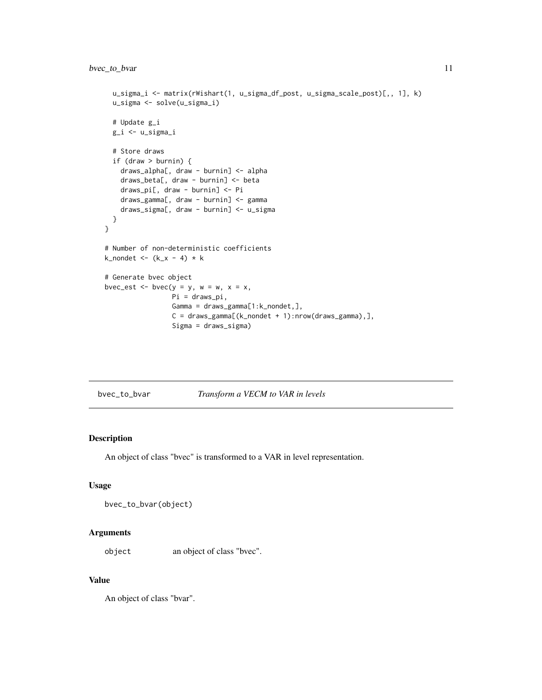```
u_sigma_i <- matrix(rWishart(1, u_sigma_df_post, u_sigma_scale_post)[,, 1], k)
 u_sigma <- solve(u_sigma_i)
 # Update g_i
 g_i <- u_sigma_i
 # Store draws
 if (draw > burnin) {
   draws_alpha[, draw - burnin] <- alpha
   draws_beta[, draw - burnin] <- beta
   draws_pi[, draw - burnin] <- Pi
   draws_gamma[, draw - burnin] <- gamma
   draws_sigma[, draw - burnin] <- u_sigma
 }
}
# Number of non-deterministic coefficients
k_nondet <- (k_x - 4) * k# Generate bvec object
bvec_est <- bvec(y = y, w = w, x = x,
                 Pi = draws_pi,
                 Gamma = draws_gamma[1:k_nondet,],
                 C = draws_gamma[(k_model + 1):nrow(draws_gamma),],Sigma = draws_sigma)
```
<span id="page-10-1"></span>bvec\_to\_bvar *Transform a VECM to VAR in levels*

# Description

An object of class "bvec" is transformed to a VAR in level representation.

# Usage

```
bvec_to_bvar(object)
```
# Arguments

object an object of class "bvec".

# Value

An object of class "bvar".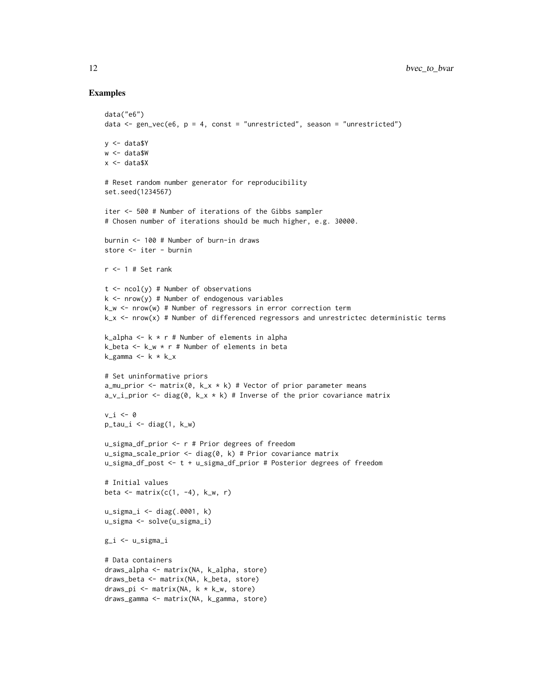```
data("e6")
data \le gen_vec(e6, p = 4, const = "unrestricted", season = "unrestricted")
y <- data$Y
w <- data$W
x <- data$X
# Reset random number generator for reproducibility
set.seed(1234567)
iter <- 500 # Number of iterations of the Gibbs sampler
# Chosen number of iterations should be much higher, e.g. 30000.
burnin <- 100 # Number of burn-in draws
store <- iter - burnin
r < -1 # Set rank
t \le -\text{ncol}(y) # Number of observations
k \le -nrow(y) # Number of endogenous variables
k_w <- nrow(w) # Number of regressors in error correction term
k_x <- nrow(x) # Number of differenced regressors and unrestrictec deterministic terms
k_alpha <- k * r # Number of elements in alpha
k_beta \leq k_w \star r # Number of elements in beta
k_{\text{gamma}} \leftarrow k * k_{\text{max}}# Set uninformative priors
a_mu_prior <- matrix(0, k_x * k) # Vector of prior parameter means
a_v_i-prior \leq diag(0, k_x * k) # Inverse of the prior covariance matrix
v_i \leftarrow \emptysetp\_tau_i \leftarrow diag(1, k_w)u_sigma_df_prior <- r # Prior degrees of freedom
u_sigma_scale_prior <- diag(0, k) # Prior covariance matrix
u_sigma_df_post <- t + u_sigma_df_prior # Posterior degrees of freedom
# Initial values
beta \leq matrix(c(1, -4), k_w, r)
u_sigma_i <- diag(.0001, k)
u_sigma <- solve(u_sigma_i)
g_i <- u_sigma_i
# Data containers
draws_alpha <- matrix(NA, k_alpha, store)
draws_beta <- matrix(NA, k_beta, store)
draws_pi <- matrix(NA, k * k_w, store)
draws_gamma <- matrix(NA, k_gamma, store)
```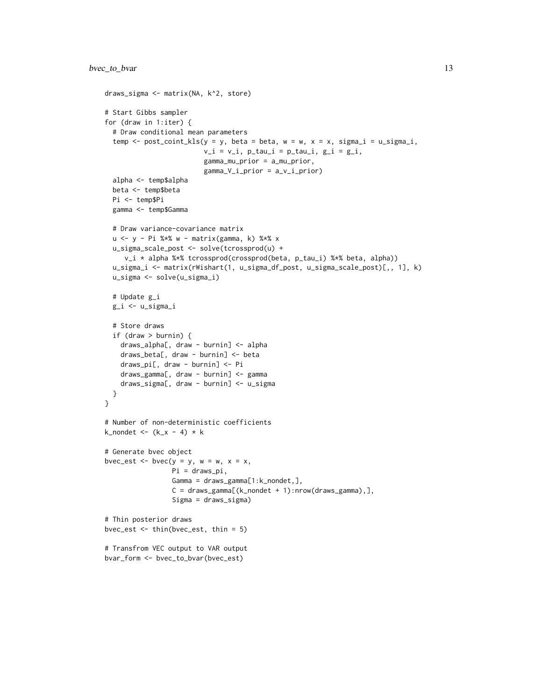```
draws_sigma <- matrix(NA, k^2, store)
# Start Gibbs sampler
for (draw in 1:iter) {
  # Draw conditional mean parameters
  temp \le post_coint_kls(y = y, beta = beta, w = w, x = x, sigma_i = u_sigma_i,
                         v_i = v_i, p_tau_i = p_tau_i, g_i = g_i,
                         gamma_mu_prior = a_mu_prior,
                         gamma_V_i_prior = a_v_i_prior)
  alpha <- temp$alpha
  beta <- temp$beta
  Pi <- temp$Pi
  gamma <- temp$Gamma
  # Draw variance-covariance matrix
  u <- y - Pi %*% w - matrix(gamma, k) %*% x
  u_sigma_scale_post <- solve(tcrossprod(u) +
     v_i * alpha %*% tcrossprod(crossprod(beta, p_tau_i) %*% beta, alpha))
  u_sigma_i <- matrix(rWishart(1, u_sigma_df_post, u_sigma_scale_post)[,, 1], k)
  u_sigma <- solve(u_sigma_i)
  # Update g_i
  g_i <- u_sigma_i
  # Store draws
  if (draw > burnin) {
    draws_alpha[, draw - burnin] <- alpha
   draws_beta[, draw - burnin] <- beta
    draws_pi[, draw - burnin] <- Pi
   draws_gamma[, draw - burnin] <- gamma
    draws_sigma[, draw - burnin] <- u_sigma
  }
}
# Number of non-deterministic coefficients
k_nondet <- (k_x - 4) * k# Generate bvec object
bvec_est \leq bvec(y = y, w = w, x = x,
                 Pi = draws_pi,
                 Gamma = draws_gamma[1:k_nondet,],
                 C = draws_gamma[(k_model + 1):nrow(draws_gamma),],Sigma = draws_sigma)
# Thin posterior draws
bvec_est \le thin(bvec_est, thin = 5)
# Transfrom VEC output to VAR output
bvar_form <- bvec_to_bvar(bvec_est)
```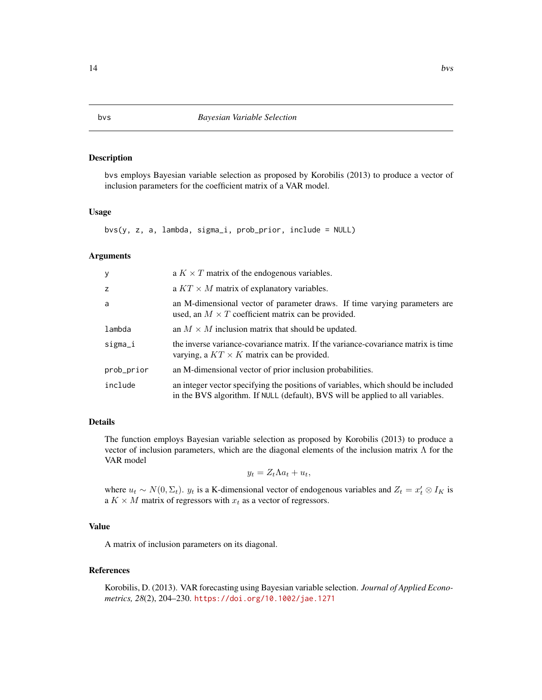#### Description

bvs employs Bayesian variable selection as proposed by Korobilis (2013) to produce a vector of inclusion parameters for the coefficient matrix of a VAR model.

#### Usage

bvs(y, z, a, lambda, sigma\_i, prob\_prior, include = NULL)

#### Arguments

| У          | a $K \times T$ matrix of the endogenous variables.                                                                                                                  |
|------------|---------------------------------------------------------------------------------------------------------------------------------------------------------------------|
| z          | a $KT \times M$ matrix of explanatory variables.                                                                                                                    |
| a          | an M-dimensional vector of parameter draws. If time varying parameters are<br>used, an $M \times T$ coefficient matrix can be provided.                             |
| lambda     | an $M \times M$ inclusion matrix that should be updated.                                                                                                            |
| sigma_i    | the inverse variance-covariance matrix. If the variance-covariance matrix is time<br>varying, a $KT \times K$ matrix can be provided.                               |
| prob_prior | an M-dimensional vector of prior inclusion probabilities.                                                                                                           |
| include    | an integer vector specifying the positions of variables, which should be included<br>in the BVS algorithm. If NULL (default), BVS will be applied to all variables. |

# Details

The function employs Bayesian variable selection as proposed by Korobilis (2013) to produce a vector of inclusion parameters, which are the diagonal elements of the inclusion matrix  $\Lambda$  for the VAR model

 $y_t = Z_t \Lambda a_t + u_t,$ 

where  $u_t \sim N(0, \Sigma_t)$ .  $y_t$  is a K-dimensional vector of endogenous variables and  $Z_t = x'_t \otimes I_K$  is a  $K \times M$  matrix of regressors with  $x_t$  as a vector of regressors.

# Value

A matrix of inclusion parameters on its diagonal.

# References

Korobilis, D. (2013). VAR forecasting using Bayesian variable selection. *Journal of Applied Econometrics, 28*(2), 204–230. <https://doi.org/10.1002/jae.1271>

#### <span id="page-13-0"></span>14 bvs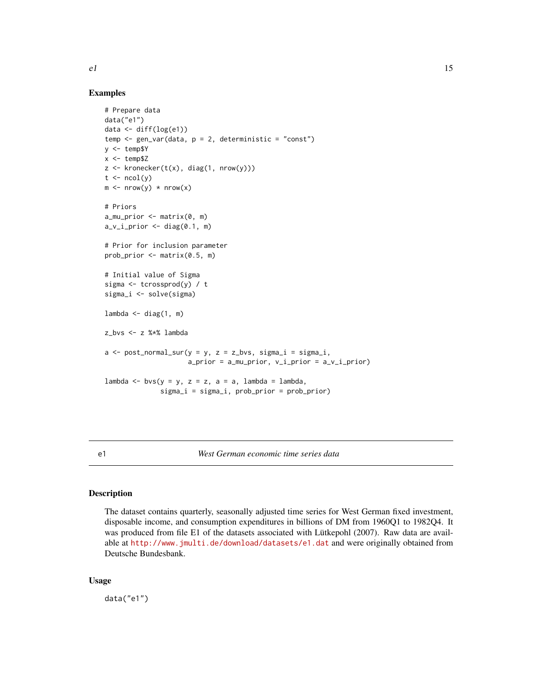<span id="page-14-0"></span>

# Examples

```
# Prepare data
data("e1")
data <- diff(log(e1))
temp \leq gen_var(data, p = 2, deterministic = "const")
y <- temp$Y
x < - temp$Z
z <- kronecker(t(x), diag(1, nrow(y)))
t \leq -ncol(y)m \le m nrow(y) * nrow(x)
# Priors
a_mu_prior \leftarrow matrix(0, m)a_v_i_p-prior \leq diag(0.1, m)
# Prior for inclusion parameter
prob_prior <- matrix(0.5, m)
# Initial value of Sigma
sigma \leq tcrossprod(y) / t
sigma_i <- solve(sigma)
lambda \leq diag(1, m)
z_bvs <- z %*% lambda
a \leq post\_normal\_sur(y = y, z = z_bvs, sigma_i = sigma_i,a\_prior = a\_mu\_prior, v\_i\_prior = a\_v\_i\_prior)lambda <- bvs(y = y, z = z, a = a, lambda = lambda,
               sigma_i = sigma_i, prob_prior = prob_prior)
```
e1 *West German economic time series data*

## Description

The dataset contains quarterly, seasonally adjusted time series for West German fixed investment, disposable income, and consumption expenditures in billions of DM from 1960Q1 to 1982Q4. It was produced from file E1 of the datasets associated with Lütkepohl (2007). Raw data are available at <http://www.jmulti.de/download/datasets/e1.dat> and were originally obtained from Deutsche Bundesbank.

# Usage

data("e1")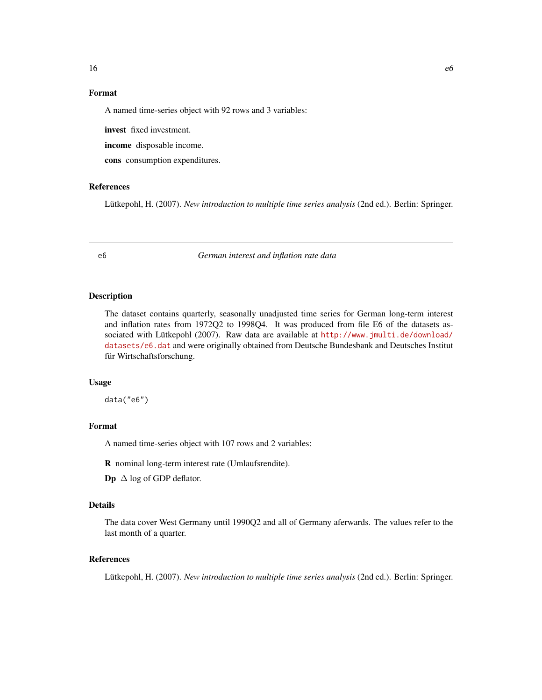# <span id="page-15-0"></span>Format

A named time-series object with 92 rows and 3 variables:

invest fixed investment.

income disposable income.

cons consumption expenditures.

#### References

Lütkepohl, H. (2007). *New introduction to multiple time series analysis* (2nd ed.). Berlin: Springer.

e6 *German interest and inflation rate data*

# **Description**

The dataset contains quarterly, seasonally unadjusted time series for German long-term interest and inflation rates from 1972Q2 to 1998Q4. It was produced from file E6 of the datasets associated with Lütkepohl (2007). Raw data are available at [http://www.jmulti.de/download/](http://www.jmulti.de/download/datasets/e6.dat) [datasets/e6.dat](http://www.jmulti.de/download/datasets/e6.dat) and were originally obtained from Deutsche Bundesbank and Deutsches Institut für Wirtschaftsforschung.

# Usage

data("e6")

# Format

A named time-series object with 107 rows and 2 variables:

R nominal long-term interest rate (Umlaufsrendite).

**Dp**  $\Delta$  log of GDP deflator.

### Details

The data cover West Germany until 1990Q2 and all of Germany aferwards. The values refer to the last month of a quarter.

#### References

Lütkepohl, H. (2007). *New introduction to multiple time series analysis* (2nd ed.). Berlin: Springer.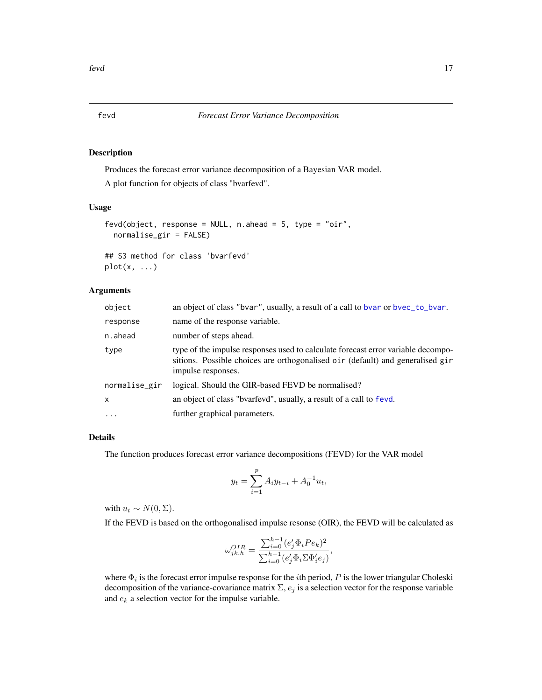# <span id="page-16-1"></span><span id="page-16-0"></span>Description

Produces the forecast error variance decomposition of a Bayesian VAR model.

A plot function for objects of class "bvarfevd".

# Usage

```
fevd(object, response = NULL, n.ahead = 5, type = "oir",
 normalise_gir = FALSE)
## S3 method for class 'bvarfevd'
plot(x, \ldots)
```
# Arguments

| object        | an object of class "bvar", usually, a result of a call to bvar or bvec_to_bvar.                                                                                                          |
|---------------|------------------------------------------------------------------------------------------------------------------------------------------------------------------------------------------|
| response      | name of the response variable.                                                                                                                                                           |
| n.ahead       | number of steps ahead.                                                                                                                                                                   |
| type          | type of the impulse responses used to calculate forecast error variable decompo-<br>sitions. Possible choices are orthogonalised oir (default) and generalised gir<br>impulse responses. |
| normalise_gir | logical. Should the GIR-based FEVD be normalised?                                                                                                                                        |
| $\mathsf{x}$  | an object of class "bvarfevd", usually, a result of a call to fevd.                                                                                                                      |
| $\cdot$       | further graphical parameters.                                                                                                                                                            |

# Details

The function produces forecast error variance decompositions (FEVD) for the VAR model

$$
y_t = \sum_{i=1}^p A_i y_{t-i} + A_0^{-1} u_t,
$$

with  $u_t \sim N(0, \Sigma)$ .

If the FEVD is based on the orthogonalised impulse resonse (OIR), the FEVD will be calculated as

$$
\omega^{OIR}_{jk,h} = \frac{\sum_{i=0}^{h-1} (e_j^\prime \Phi_i Pe_k)^2}{\sum_{i=0}^{h-1} (e_j^\prime \Phi_i \Sigma \Phi_i^\prime e_j)},
$$

where  $\Phi_i$  is the forecast error impulse response for the *i*th period, P is the lower triangular Choleski decomposition of the variance-covariance matrix  $\Sigma$ ,  $e_j$  is a selection vector for the response variable and  $e_k$  a selection vector for the impulse variable.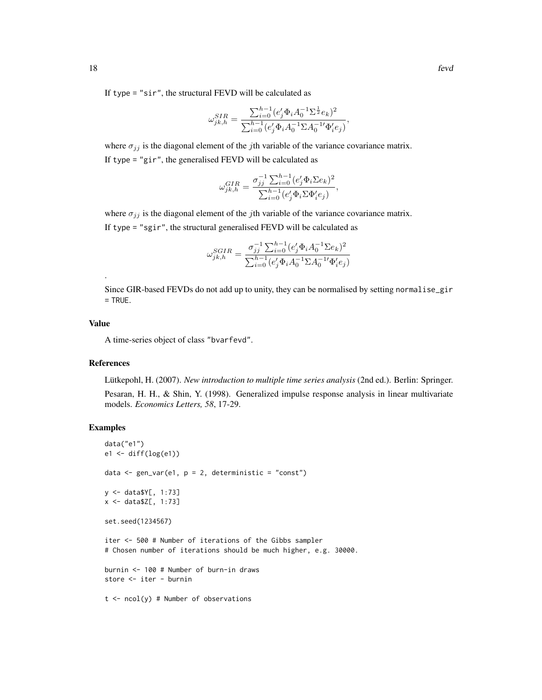If type = "sir", the structural FEVD will be calculated as

$$
\omega_{jk,h}^{SIR} = \frac{\sum_{i=0}^{h-1} (e'_j \Phi_i A_0^{-1} \Sigma^{\frac{1}{2}} e_k)^2}{\sum_{i=0}^{h-1} (e'_j \Phi_i A_0^{-1} \Sigma A_0^{-1} \Phi'_i e_j)},
$$

where  $\sigma_{ij}$  is the diagonal element of the *j*th variable of the variance covariance matrix. If type = "gir", the generalised FEVD will be calculated as

$$
\omega_{jk,h}^{GIR} = \frac{\sigma_{jj}^{-1} \sum_{i=0}^{h-1} (e'_j \Phi_i \Sigma e_k)^2}{\sum_{i=0}^{h-1} (e'_j \Phi_i \Sigma \Phi'_i e_j)},
$$

where  $\sigma_{jj}$  is the diagonal element of the jth variable of the variance covariance matrix. If type = "sgir", the structural generalised FEVD will be calculated as

$$
\omega_{jk,h}^{SGIR} = \frac{\sigma_{jj}^{-1} \sum_{i=0}^{h-1} (e_j' \Phi_i A_0^{-1} \Sigma e_k)^2}{\sum_{i=0}^{h-1} (e_j' \Phi_i A_0^{-1} \Sigma A_0^{-1} \Phi_i' e_j)}
$$

Since GIR-based FEVDs do not add up to unity, they can be normalised by setting normalise\_gir = TRUE.

# Value

.

A time-series object of class "bvarfevd".

# References

Lütkepohl, H. (2007). *New introduction to multiple time series analysis* (2nd ed.). Berlin: Springer.

Pesaran, H. H., & Shin, Y. (1998). Generalized impulse response analysis in linear multivariate models. *Economics Letters, 58*, 17-29.

```
data("e1")
e1 <- diff(log(e1))
data \leq gen_var(e1, p = 2, deterministic = "const")
y <- data$Y[, 1:73]
x <- data$Z[, 1:73]
set.seed(1234567)
iter <- 500 # Number of iterations of the Gibbs sampler
# Chosen number of iterations should be much higher, e.g. 30000.
burnin <- 100 # Number of burn-in draws
store <- iter - burnin
t \le -\text{ncol}(y) # Number of observations
```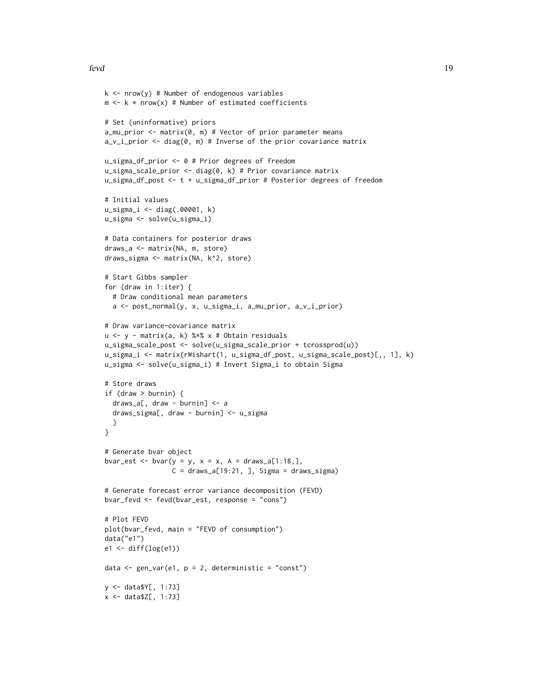#### fevd and the state of the state of the state of the state of the state of the state of the state of the state of the state of the state of the state of the state of the state of the state of the state of the state of the s

```
k \le - nrow(y) # Number of endogenous variables
m \leq k * nrow(x) # Number of estimated coefficients
# Set (uninformative) priors
a_mu_prior <- matrix(0, m) # Vector of prior parameter means
a_v_i_prior <- diag(0, m) # Inverse of the prior covariance matrix
u_sigma_df_prior <- 0 # Prior degrees of freedom
u_sigma_scale_prior \leq diag(0, k) # Prior covariance matrix
u_sigma_df_post <- t + u_sigma_df_prior # Posterior degrees of freedom
# Initial values
u_sigma_i <- diag(.00001, k)
u_sigma <- solve(u_sigma_i)
# Data containers for posterior draws
draws_a <- matrix(NA, m, store)
draws_sigma <- matrix(NA, k^2, store)
# Start Gibbs sampler
for (draw in 1:iter) {
  # Draw conditional mean parameters
  a <- post_normal(y, x, u_sigma_i, a_mu_prior, a_v_i_prior)
# Draw variance-covariance matrix
u <- y - matrix(a, k) %*% x # Obtain residuals
u_sigma_scale_post <- solve(u_sigma_scale_prior + tcrossprod(u))
u_sigma_i <- matrix(rWishart(1, u_sigma_df_post, u_sigma_scale_post)[,, 1], k)
u_sigma <- solve(u_sigma_i) # Invert Sigma_i to obtain Sigma
# Store draws
if (draw > burnin) {
  draws_a[, draw - burnin] <- a
  draws_sigma[, draw - burnin] <- u_sigma
  }
}
# Generate bvar object
bvar_est <- bvar(y = y, x = x, A = \text{draws}_a[1:18,],C = \text{draws}_a[19:21, ], Sigma = draws_sigma)
# Generate forecast error variance decomposition (FEVD)
bvar_fevd <- fevd(bvar_est, response = "cons")
# Plot FEVD
plot(bvar_fevd, main = "FEVD of consumption")
data("e1")
e1 <- diff(log(e1))
data \leq gen_var(e1, p = 2, deterministic = "const")
y <- data$Y[, 1:73]
x <- data$Z[, 1:73]
```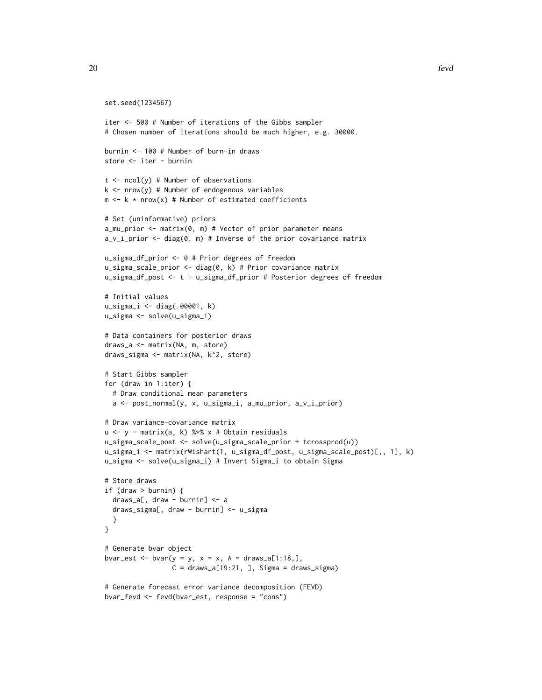```
set.seed(1234567)
iter <- 500 # Number of iterations of the Gibbs sampler
# Chosen number of iterations should be much higher, e.g. 30000.
burnin <- 100 # Number of burn-in draws
store <- iter - burnin
t \le ncol(y) # Number of observations
k \le - nrow(y) # Number of endogenous variables
m \leq k * nrow(x) # Number of estimated coefficients
# Set (uninformative) priors
a_mu_prior <- matrix(0, m) # Vector of prior parameter means
a_v_i_prior <- diag(0, m) # Inverse of the prior covariance matrix
u_sigma_df_prior <- 0 # Prior degrees of freedom
u_sigma_scale_prior <- diag(0, k) # Prior covariance matrix
u_sigma_df_post <- t + u_sigma_df_prior # Posterior degrees of freedom
# Initial values
u_sigma_i <- diag(.00001, k)
u_sigma <- solve(u_sigma_i)
# Data containers for posterior draws
draws_a <- matrix(NA, m, store)
draws_sigma <- matrix(NA, k^2, store)
# Start Gibbs sampler
for (draw in 1:iter) {
  # Draw conditional mean parameters
  a <- post_normal(y, x, u_sigma_i, a_mu_prior, a_v_i_prior)
# Draw variance-covariance matrix
u <- y - matrix(a, k) %*% x # Obtain residuals
u_sigma_scale_post <- solve(u_sigma_scale_prior + tcrossprod(u))
u_sigma_i <- matrix(rWishart(1, u_sigma_df_post, u_sigma_scale_post)[,, 1], k)
u_sigma <- solve(u_sigma_i) # Invert Sigma_i to obtain Sigma
# Store draws
if (draw > burnin) {
  draws_a[, draw - burnin] <- a
  draws_sigma[, draw - burnin] <- u_sigma
  }
}
# Generate bvar object
bvar_est <- bvar(y = y, x = x, A = draws_a[1:18,],
                 C = \text{draws}_a[19:21, ], Sigma = draws_sigma)
# Generate forecast error variance decomposition (FEVD)
```

```
bvar_fevd <- fevd(bvar_est, response = "cons")
```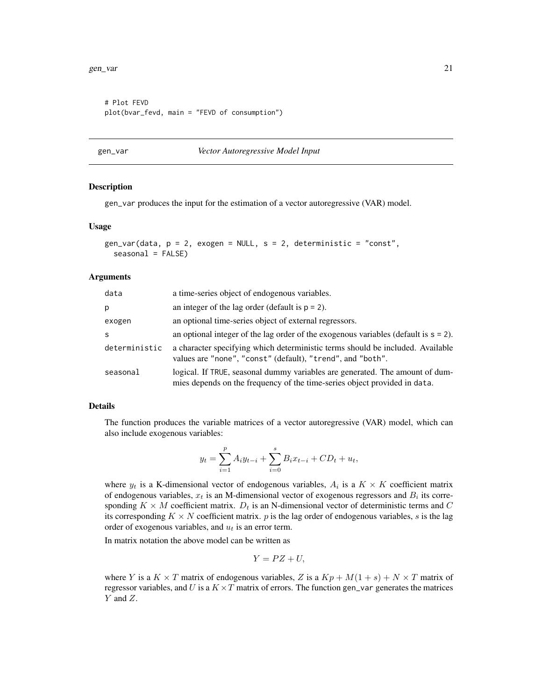```
# Plot FEVD
plot(bvar_fevd, main = "FEVD of consumption")
```
#### <span id="page-20-1"></span>gen\_var *Vector Autoregressive Model Input*

#### Description

gen\_var produces the input for the estimation of a vector autoregressive (VAR) model.

#### Usage

```
gen_var(data, p = 2, exogen = NULL, s = 2, deterministic = "const",
  seasonal = FALSE)
```
# Arguments

| data          | a time-series object of endogenous variables.                                                                                                             |
|---------------|-----------------------------------------------------------------------------------------------------------------------------------------------------------|
| р             | an integer of the lag order (default is $p = 2$ ).                                                                                                        |
| exogen        | an optional time-series object of external regressors.                                                                                                    |
| S             | an optional integer of the lag order of the exogenous variables (default is $s = 2$ ).                                                                    |
| deterministic | a character specifying which deterministic terms should be included. Available<br>values are "none", "const" (default), "trend", and "both".              |
| seasonal      | logical. If TRUE, seasonal dummy variables are generated. The amount of dum-<br>mies depends on the frequency of the time-series object provided in data. |

## Details

The function produces the variable matrices of a vector autoregressive (VAR) model, which can also include exogenous variables:

$$
y_t = \sum_{i=1}^p A_i y_{t-i} + \sum_{i=0}^s B_i x_{t-i} + CD_t + u_t,
$$

where  $y_t$  is a K-dimensional vector of endogenous variables,  $A_i$  is a  $K \times K$  coefficient matrix of endogenous variables,  $x_t$  is an M-dimensional vector of exogenous regressors and  $B_i$  its corresponding  $K \times M$  coefficient matrix.  $D_t$  is an N-dimensional vector of deterministic terms and C its corresponding  $K \times N$  coefficient matrix. p is the lag order of endogenous variables, s is the lag order of exogenous variables, and  $u_t$  is an error term.

In matrix notation the above model can be written as

$$
Y = PZ + U,
$$

where Y is a  $K \times T$  matrix of endogenous variables, Z is a  $Kp + M(1 + s) + N \times T$  matrix of regressor variables, and U is a  $K \times T$  matrix of errors. The function gen\_var generates the matrices Y and Z.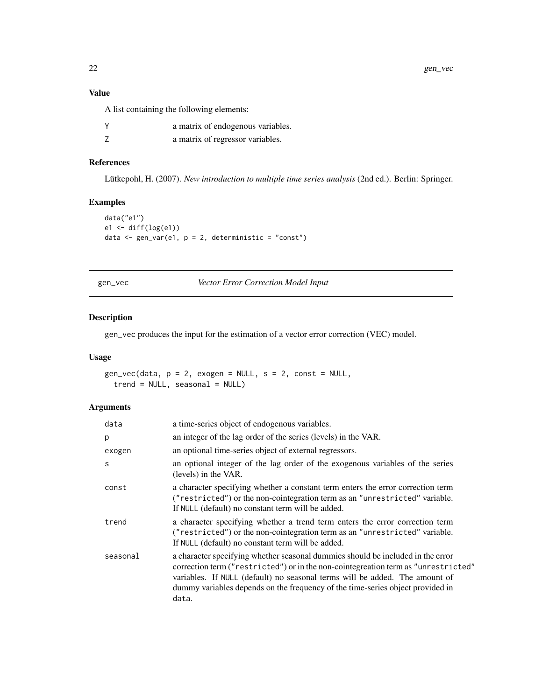22 gen\_vec

# Value

A list containing the following elements:

| Υ | a matrix of endogenous variables. |
|---|-----------------------------------|
|   | a matrix of regressor variables.  |

# References

Lütkepohl, H. (2007). *New introduction to multiple time series analysis* (2nd ed.). Berlin: Springer.

# Examples

```
data("e1")
e1 <- diff(log(e1))
data <- gen_var(e1, p = 2, deterministic = "const")
```
<span id="page-21-1"></span>gen\_vec *Vector Error Correction Model Input*

# Description

gen\_vec produces the input for the estimation of a vector error correction (VEC) model.

# Usage

```
gen\_vec(data, p = 2, exogen = NULL, s = 2, const = NULL,trend = NULL, seasonal = NULL)
```
# Arguments

| data     | a time-series object of endogenous variables.                                                                                                                                                                                                                                                                                                   |
|----------|-------------------------------------------------------------------------------------------------------------------------------------------------------------------------------------------------------------------------------------------------------------------------------------------------------------------------------------------------|
| p        | an integer of the lag order of the series (levels) in the VAR.                                                                                                                                                                                                                                                                                  |
| exogen   | an optional time-series object of external regressors.                                                                                                                                                                                                                                                                                          |
| S        | an optional integer of the lag order of the exogenous variables of the series<br>(levels) in the VAR.                                                                                                                                                                                                                                           |
| const    | a character specifying whether a constant term enters the error correction term<br>("restricted") or the non-cointegration term as an "unrestricted" variable.<br>If NULL (default) no constant term will be added.                                                                                                                             |
| trend    | a character specifying whether a trend term enters the error correction term<br>("restricted") or the non-cointegration term as an "unrestricted" variable.<br>If NULL (default) no constant term will be added.                                                                                                                                |
| seasonal | a character specifying whether seasonal dummies should be included in the error<br>correction term ("restricted") or in the non-cointegreation term as "unrestricted"<br>variables. If NULL (default) no seasonal terms will be added. The amount of<br>dummy variables depends on the frequency of the time-series object provided in<br>data. |

<span id="page-21-0"></span>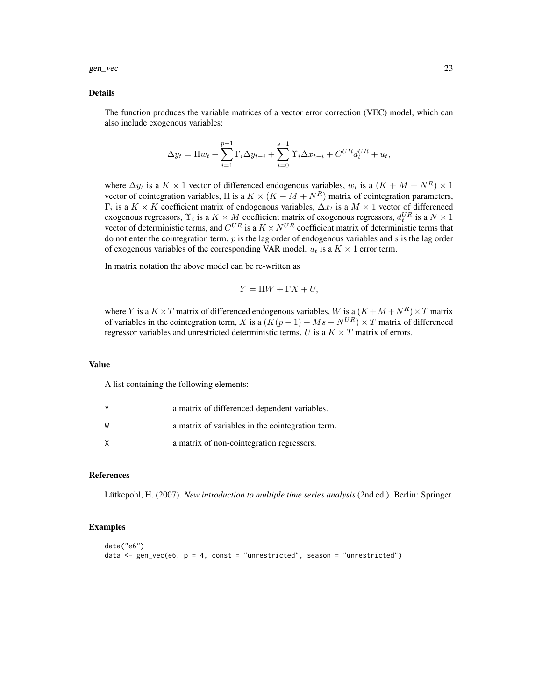gen\_vec 23

#### Details

The function produces the variable matrices of a vector error correction (VEC) model, which can also include exogenous variables:

$$
\Delta y_t = \Pi w_t + \sum_{i=1}^{p-1} \Gamma_i \Delta y_{t-i} + \sum_{i=0}^{s-1} \Upsilon_i \Delta x_{t-i} + C^{UR} d_t^{UR} + u_t,
$$

where  $\Delta y_t$  is a  $K \times 1$  vector of differenced endogenous variables,  $w_t$  is a  $(K + M + N^R) \times 1$ vector of cointegration variables,  $\Pi$  is a  $K \times (K + M + N^R)$  matrix of cointegration parameters,  $\Gamma_i$  is a  $K \times K$  coefficient matrix of endogenous variables,  $\Delta x_t$  is a  $M \times 1$  vector of differenced exogenous regressors,  $\Upsilon_i$  is a  $K \times M$  coefficient matrix of exogenous regressors,  $d_t^{UR}$  is a  $N \times 1$ vector of deterministic terms, and  $C^{UR}$  is a  $K \times N^{UR}$  coefficient matrix of deterministic terms that do not enter the cointegration term.  $p$  is the lag order of endogenous variables and  $s$  is the lag order of exogenous variables of the corresponding VAR model.  $u_t$  is a  $K \times 1$  error term.

In matrix notation the above model can be re-written as

$$
Y = \Pi W + \Gamma X + U,
$$

where Y is a  $K \times T$  matrix of differenced endogenous variables, W is a  $(K + M + N^R) \times T$  matrix of variables in the cointegration term, X is a  $(K(p-1) + Ms + N^{UR}) \times T$  matrix of differenced regressor variables and unrestricted deterministic terms. U is a  $K \times T$  matrix of errors.

# Value

A list containing the following elements:

|    | a matrix of differenced dependent variables.     |
|----|--------------------------------------------------|
| w  | a matrix of variables in the cointegration term. |
| x. | a matrix of non-cointegration regressors.        |

# References

Lütkepohl, H. (2007). *New introduction to multiple time series analysis* (2nd ed.). Berlin: Springer.

```
data("e6")
data \leq gen_vec(e6, p = 4, const = "unrestricted", season = "unrestricted")
```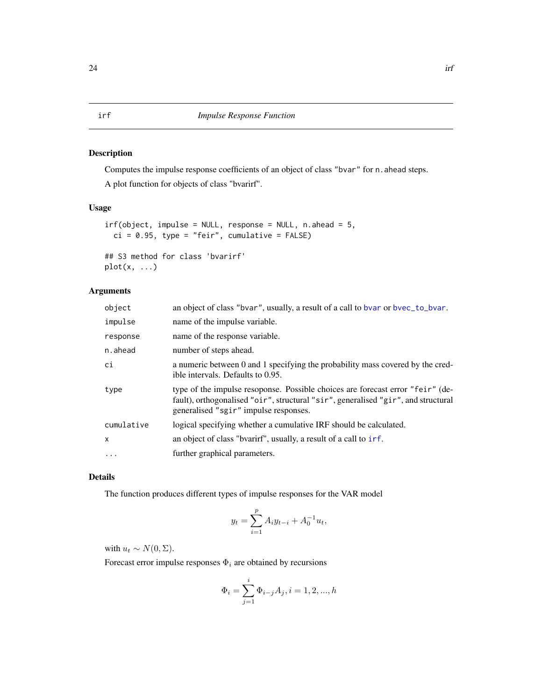# <span id="page-23-1"></span><span id="page-23-0"></span>Description

Computes the impulse response coefficients of an object of class "bvar" for n. ahead steps. A plot function for objects of class "bvarirf".

# Usage

```
irf(object, impulse = NULL, response = NULL, n.ahead = 5,
 ci = 0.95, type = "feir", cumulative = FALSE)
## S3 method for class 'bvarirf'
```
plot(x, ...)

# Arguments

| object       | an object of class "bvar", usually, a result of a call to bvar or bvec_to_bvar.                                                                                                                              |
|--------------|--------------------------------------------------------------------------------------------------------------------------------------------------------------------------------------------------------------|
| impulse      | name of the impulse variable.                                                                                                                                                                                |
| response     | name of the response variable.                                                                                                                                                                               |
| n.ahead      | number of steps ahead.                                                                                                                                                                                       |
| ci           | a numeric between 0 and 1 specifying the probability mass covered by the cred-<br>ible intervals. Defaults to 0.95.                                                                                          |
| type         | type of the impulse resoponse. Possible choices are forecast error "feir" (de-<br>fault), orthogonalised "oir", structural "sir", generalised "gir", and structural<br>generalised "sgir" impulse responses. |
| cumulative   | logical specifying whether a cumulative IRF should be calculated.                                                                                                                                            |
| $\mathsf{x}$ | an object of class "byarirf", usually, a result of a call to irf.                                                                                                                                            |
| $\cdots$     | further graphical parameters.                                                                                                                                                                                |

# Details

The function produces different types of impulse responses for the VAR model

i

$$
y_t = \sum_{i=1}^p A_i y_{t-i} + A_0^{-1} u_t,
$$

with  $u_t \sim N(0, \Sigma)$ .

Forecast error impulse responses  $\Phi_i$  are obtained by recursions

$$
\Phi_i = \sum_{j=1}^i \Phi_{i-j} A_j, i = 1, 2, ..., h
$$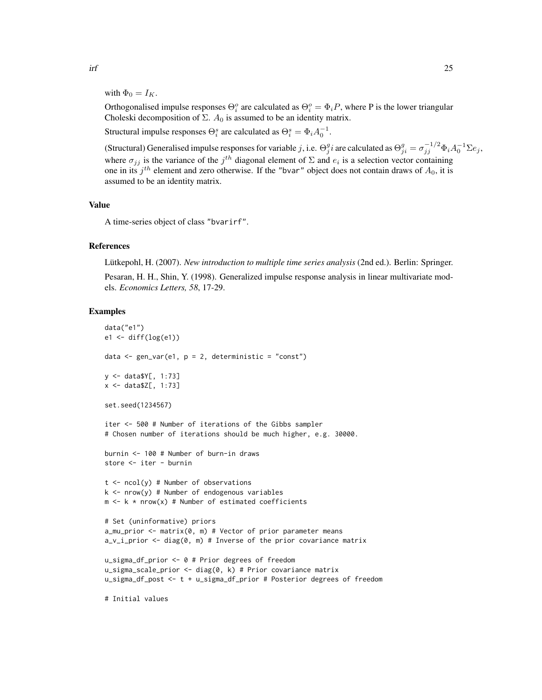with  $\Phi_0 = I_K$ .

Orthogonalised impulse responses  $\Theta_i^o$  are calculated as  $\Theta_i^o = \Phi_i P$ , where P is the lower triangular Choleski decomposition of  $\Sigma$ .  $A_0$  is assumed to be an identity matrix.

Structural impulse responses  $\Theta_i^s$  are calculated as  $\Theta_i^s = \Phi_i A_0^{-1}$ .

(Structural) Generalised impulse responses for variable j, i.e.  $\Theta_j^g i$  are calculated as  $\Theta_{ji}^g = \sigma_{jj}^{-1/2} \Phi_i A_0^{-1} \Sigma e_j$ , where  $\sigma_{jj}$  is the variance of the  $j^{th}$  diagonal element of  $\Sigma$  and  $e_i$  is a selection vector containing one in its  $j<sup>th</sup>$  element and zero otherwise. If the "bvar" object does not contain draws of  $A_0$ , it is assumed to be an identity matrix.

# Value

A time-series object of class "bvarirf".

# References

Lütkepohl, H. (2007). *New introduction to multiple time series analysis* (2nd ed.). Berlin: Springer.

Pesaran, H. H., Shin, Y. (1998). Generalized impulse response analysis in linear multivariate models. *Economics Letters, 58*, 17-29.

#### Examples

```
data("e1")
e1 <- diff(log(e1))
data \leq gen_var(e1, p = 2, deterministic = "const")
y <- data$Y[, 1:73]
x <- data$Z[, 1:73]
set.seed(1234567)
iter <- 500 # Number of iterations of the Gibbs sampler
# Chosen number of iterations should be much higher, e.g. 30000.
burnin <- 100 # Number of burn-in draws
store <- iter - burnin
t \le -\text{ncol}(y) # Number of observations
k \le - nrow(y) # Number of endogenous variables
m \leq k * nrow(x) # Number of estimated coefficients
# Set (uninformative) priors
a_mu_prior <- matrix(0, m) # Vector of prior parameter means
a_v_i_prior <- diag(0, m) # Inverse of the prior covariance matrix
u_sigma_df_prior <- 0 # Prior degrees of freedom
u_sigma_scale_prior \leq diag(0, k) # Prior covariance matrix
u_sigma_df_post <- t + u_sigma_df_prior # Posterior degrees of freedom
```
# Initial values

 $\int$  25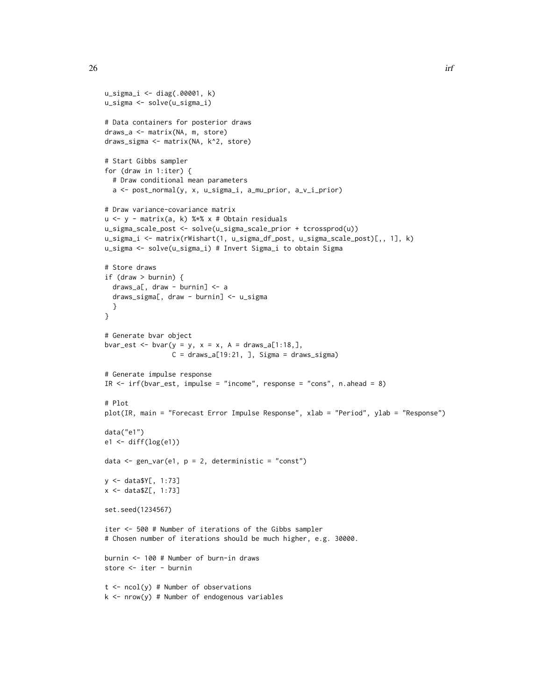```
u_sigma_i <- diag(.00001, k)
u_sigma <- solve(u_sigma_i)
# Data containers for posterior draws
draws_a <- matrix(NA, m, store)
draws_sigma <- matrix(NA, k^2, store)
# Start Gibbs sampler
for (draw in 1:iter) {
  # Draw conditional mean parameters
  a <- post_normal(y, x, u_sigma_i, a_mu_prior, a_v_i_prior)
# Draw variance-covariance matrix
u <- y - matrix(a, k) %*% x # Obtain residuals
u_sigma_scale_post <- solve(u_sigma_scale_prior + tcrossprod(u))
u_sigma_i <- matrix(rWishart(1, u_sigma_df_post, u_sigma_scale_post)[,, 1], k)
u_sigma <- solve(u_sigma_i) # Invert Sigma_i to obtain Sigma
# Store draws
if (draw > burnin) {
  draws_a[, draw - burnin] <- a
  draws_sigma[, draw - burnin] <- u_sigma
  }
}
# Generate bvar object
bvar_est <- bvar(y = y, x = x, A = \text{draws}_a[1:18,],C = \text{draws}_a[19:21, ], Sigma = draws_sigma)
# Generate impulse response
IR <- irf(bvar_est, impulse = "income", response = "cons", n.ahead = 8)
# Plot
plot(IR, main = "Forecast Error Impulse Response", xlab = "Period", ylab = "Response")
data("e1")
e1 <- diff(log(e1))
data \leq gen_var(e1, p = 2, deterministic = "const")
y <- data$Y[, 1:73]
x <- data$Z[, 1:73]
set.seed(1234567)
iter <- 500 # Number of iterations of the Gibbs sampler
# Chosen number of iterations should be much higher, e.g. 30000.
burnin <- 100 # Number of burn-in draws
store <- iter - burnin
t \le - ncol(y) # Number of observations
```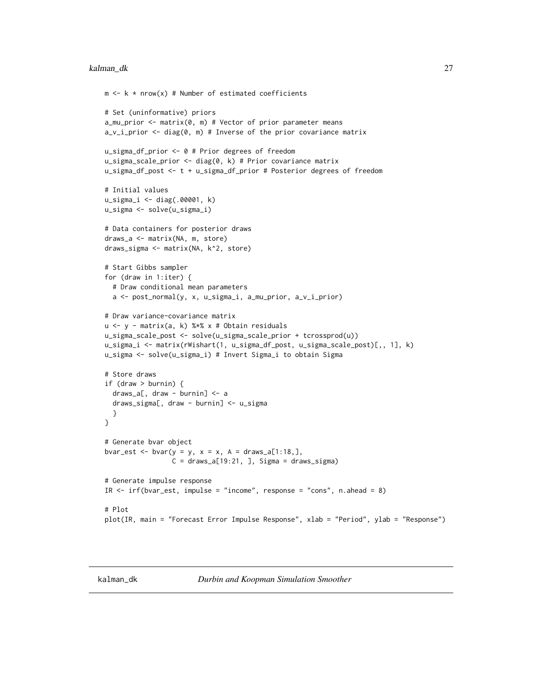#### <span id="page-26-0"></span>kalman\_dk 27

```
m \leq k \times nrow(x) # Number of estimated coefficients
# Set (uninformative) priors
a_mu_prior <- matrix(0, m) # Vector of prior parameter means
a_v_i-prior \leq diag(0, m) # Inverse of the prior covariance matrix
u_sigma_df_prior <- 0 # Prior degrees of freedom
u_sigma_scale_prior <- diag(0, k) # Prior covariance matrix
u_sigma_df_post <- t + u_sigma_df_prior # Posterior degrees of freedom
# Initial values
u_sigma_i <- diag(.00001, k)
u_sigma <- solve(u_sigma_i)
# Data containers for posterior draws
draws_a <- matrix(NA, m, store)
draws_sigma <- matrix(NA, k^2, store)
# Start Gibbs sampler
for (draw in 1:iter) {
  # Draw conditional mean parameters
  a <- post_normal(y, x, u_sigma_i, a_mu_prior, a_v_i_prior)
# Draw variance-covariance matrix
u <- y - matrix(a, k) %*% x # Obtain residuals
u_sigma_scale_post <- solve(u_sigma_scale_prior + tcrossprod(u))
u_sigma_i <- matrix(rWishart(1, u_sigma_df_post, u_sigma_scale_post)[,, 1], k)
u_sigma <- solve(u_sigma_i) # Invert Sigma_i to obtain Sigma
# Store draws
if (draw > burnin) {
  draws_a[, draw - burnin] <- a
  draws_sigma[, draw - burnin] <- u_sigma
  }
}
# Generate bvar object
bvar_est <- bvar(y = y, x = x, A = draws_a[1:18,],
                 C = \text{draws}_a[19:21, ], Sigma = draws_sigma)
# Generate impulse response
IR \le irf(bvar_est, impulse = "income", response = "cons", n.ahead = 8)
# Plot
plot(IR, main = "Forecast Error Impulse Response", xlab = "Period", ylab = "Response")
```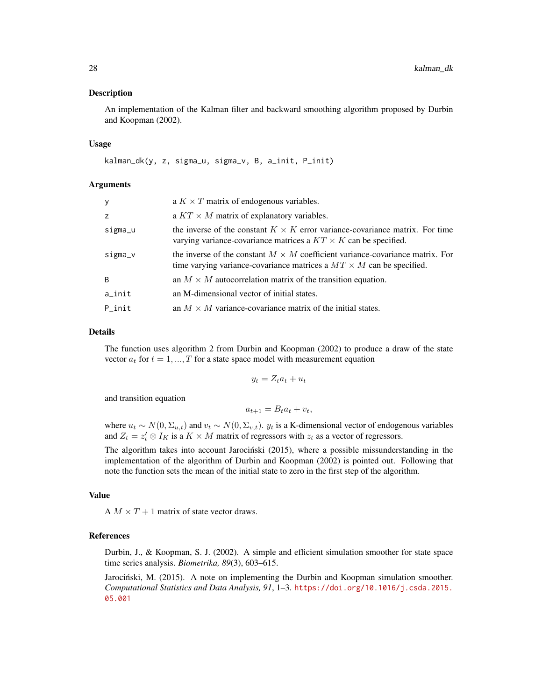#### Description

An implementation of the Kalman filter and backward smoothing algorithm proposed by Durbin and Koopman (2002).

#### Usage

kalman\_dk(y, z, sigma\_u, sigma\_v, B, a\_init, P\_init)

# Arguments

| У         | a $K \times T$ matrix of endogenous variables.                                                                                                                      |
|-----------|---------------------------------------------------------------------------------------------------------------------------------------------------------------------|
| Z         | a $KT \times M$ matrix of explanatory variables.                                                                                                                    |
| sigma_u   | the inverse of the constant $K \times K$ error variance-covariance matrix. For time<br>varying variance-covariance matrices a $KT \times K$ can be specified.       |
| sigma_v   | the inverse of the constant $M \times M$ coefficient variance-covariance matrix. For<br>time varying variance-covariance matrices a $MT \times M$ can be specified. |
| B         | an $M \times M$ autocorrelation matrix of the transition equation.                                                                                                  |
| $a$ _init | an M-dimensional vector of initial states.                                                                                                                          |
| P init    | an $M \times M$ variance-covariance matrix of the initial states.                                                                                                   |

# Details

The function uses algorithm 2 from Durbin and Koopman (2002) to produce a draw of the state vector  $a_t$  for  $t = 1, ..., T$  for a state space model with measurement equation

$$
y_t = Z_t a_t + u_t
$$

and transition equation

$$
a_{t+1} = B_t a_t + v_t,
$$

where  $u_t \sim N(0, \Sigma_{u,t})$  and  $v_t \sim N(0, \Sigma_{v,t})$ .  $y_t$  is a K-dimensional vector of endogenous variables and  $Z_t = z_t' \otimes I_K$  is a  $K \times M$  matrix of regressors with  $z_t$  as a vector of regressors.

The algorithm takes into account Jarociński (2015), where a possible missunderstanding in the implementation of the algorithm of Durbin and Koopman (2002) is pointed out. Following that note the function sets the mean of the initial state to zero in the first step of the algorithm.

# Value

A  $M \times T + 1$  matrix of state vector draws.

#### References

Durbin, J., & Koopman, S. J. (2002). A simple and efficient simulation smoother for state space time series analysis. *Biometrika, 89*(3), 603–615.

Jarociński, M. (2015). A note on implementing the Durbin and Koopman simulation smoother. *Computational Statistics and Data Analysis, 91*, 1–3. [https://doi.org/10.1016/j.csda.2015.](https://doi.org/10.1016/j.csda.2015.05.001) [05.001](https://doi.org/10.1016/j.csda.2015.05.001)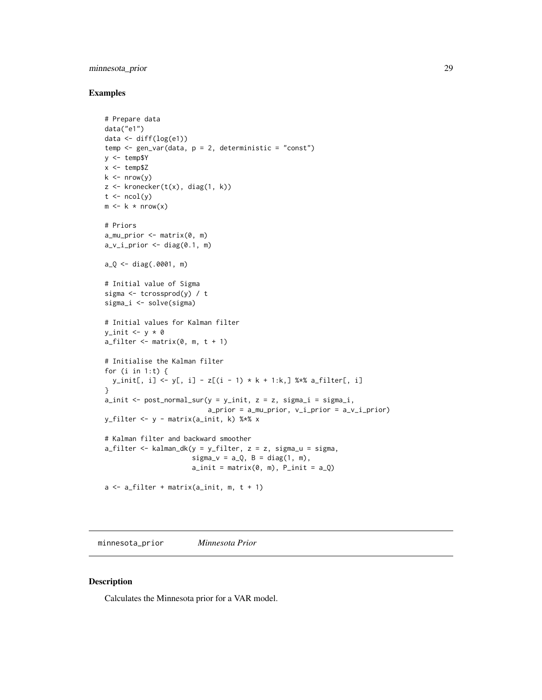# <span id="page-28-0"></span>minnesota\_prior 29

# Examples

```
# Prepare data
data("e1")
data <- diff(log(e1))
temp <- gen_var(data, p = 2, deterministic = "const")
y <- temp$Y
x < - temp$Z
k \leq -nrow(y)z \leftarrow kronecker(t(x), diag(1, k))
t \leftarrow \text{ncol}(y)m \leftarrow k * nrow(x)# Priors
a_mu_prior \leftarrow matrix(0, m)a_v_i_p-prior \leq diag(0.1, m)
a_Q <- diag(.0001, m)
# Initial value of Sigma
sigma <- tcrossprod(y) / t
sigma_i <- solve(sigma)
# Initial values for Kalman filter
y\_init \leftarrow y * 0a_filter \leq matrix(0, m, t + 1)
# Initialise the Kalman filter
for (i in 1:t) \{y_init[, i] <- y[, i] - z[(i - 1) * k + 1:k,] %*% a_filter[, i]
}
a\_init \le -\text{post\_normal\_sur}(y = y\_init, z = z, \text{ sigma}_i = \text{sigma}_i,a_prior = a_mu<sub>p</sub>rior, v_i<sub>p</sub>rior = a_v<sub>1</sub>_prior)
y_filter <- y - matrix(a_init, k) %*% x
# Kalman filter and backward smoother
a_filter <- kalman_dk(y = y_filter, z = z, sigma_u = sigma,
                         signa_v = a_Q, B = diag(1, m),
                         a\_init = matrix(0, m), P\_init = a_Qa \leftarrow a_{\text{filter}} + \text{matrix}(a_{\text{limit}}, m, t + 1)
```
minnesota\_prior *Minnesota Prior*

# Description

Calculates the Minnesota prior for a VAR model.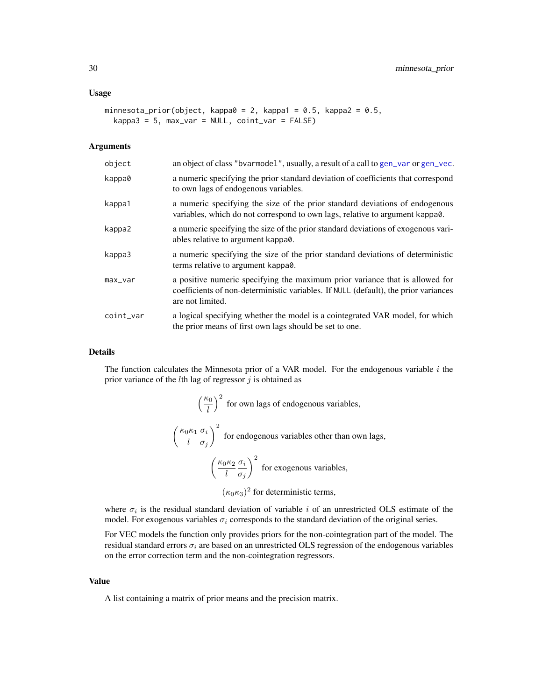#### <span id="page-29-0"></span>Usage

```
minnesota_prior(object, kappa0 = 2, kappa1 = 0.5, kappa2 = 0.5,
 kappa3 = 5, max\_var = NULL, coin\_var = FALSE)
```
# Arguments

| object    | an object of class "bvarmodel", usually, a result of a call to gen_var or gen_vec.                                                                                                      |
|-----------|-----------------------------------------------------------------------------------------------------------------------------------------------------------------------------------------|
| kappa0    | a numeric specifying the prior standard deviation of coefficients that correspond<br>to own lags of endogenous variables.                                                               |
| kappa1    | a numeric specifying the size of the prior standard deviations of endogenous<br>variables, which do not correspond to own lags, relative to argument kappa0.                            |
| kappa2    | a numeric specifying the size of the prior standard deviations of exogenous vari-<br>ables relative to argument kappa0.                                                                 |
| kappa3    | a numeric specifying the size of the prior standard deviations of deterministic<br>terms relative to argument kappa0.                                                                   |
| max_var   | a positive numeric specifying the maximum prior variance that is allowed for<br>coefficients of non-deterministic variables. If NULL (default), the prior variances<br>are not limited. |
| coint_var | a logical specifying whether the model is a cointegrated VAR model, for which<br>the prior means of first own lags should be set to one.                                                |

### Details

The function calculates the Minnesota prior of a VAR model. For the endogenous variable  $i$  the prior variance of the  $l$ th lag of regressor  $j$  is obtained as

$$
\left(\frac{\kappa_0}{l}\right)^2
$$
 for own lags of endogenous variables,  

$$
\left(\frac{\kappa_0 \kappa_1}{l} \frac{\sigma_i}{\sigma_j}\right)^2
$$
 for endogenous variables other than own lags,  

$$
\left(\frac{\kappa_0 \kappa_2}{l} \frac{\sigma_i}{\sigma_j}\right)^2
$$
 for exogenous variables,

 $(\kappa_0 \kappa_3)^2$  for deterministic terms,

where  $\sigma_i$  is the residual standard deviation of variable i of an unrestricted OLS estimate of the model. For exogenous variables  $\sigma_i$  corresponds to the standard deviation of the original series.

For VEC models the function only provides priors for the non-cointegration part of the model. The residual standard errors  $\sigma_i$  are based on an unrestricted OLS regression of the endogenous variables on the error correction term and the non-cointegration regressors.

#### Value

A list containing a matrix of prior means and the precision matrix.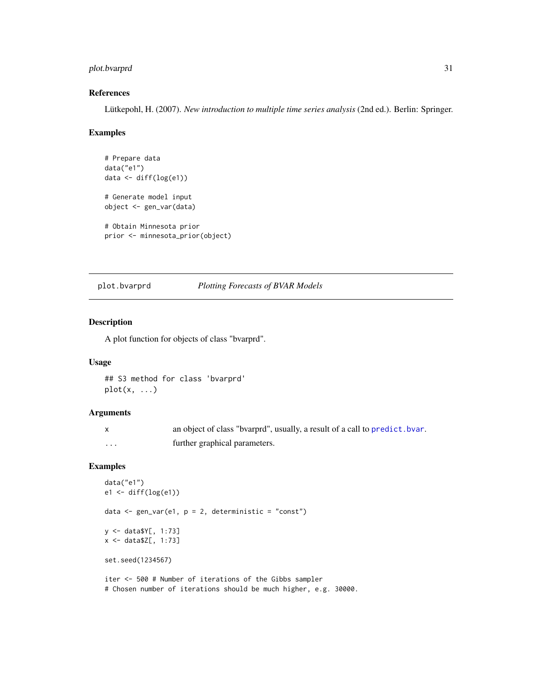# <span id="page-30-0"></span>plot.bvarprd 31

# References

Lütkepohl, H. (2007). *New introduction to multiple time series analysis* (2nd ed.). Berlin: Springer.

#### Examples

```
# Prepare data
data("e1")
data <- diff(log(e1))
# Generate model input
object <- gen_var(data)
# Obtain Minnesota prior
prior <- minnesota_prior(object)
```
plot.bvarprd *Plotting Forecasts of BVAR Models*

# Description

A plot function for objects of class "bvarprd".

# Usage

## S3 method for class 'bvarprd'  $plot(x, \ldots)$ 

# Arguments

|   | an object of class "byarprd", usually, a result of a call to predict. byar. |
|---|-----------------------------------------------------------------------------|
| . | further graphical parameters.                                               |

```
data("e1")
e1 \leftarrow diff(log(e1))data <- gen_var(e1, p = 2, deterministic = "const")
y <- data$Y[, 1:73]
x <- data$Z[, 1:73]
set.seed(1234567)
iter <- 500 # Number of iterations of the Gibbs sampler
```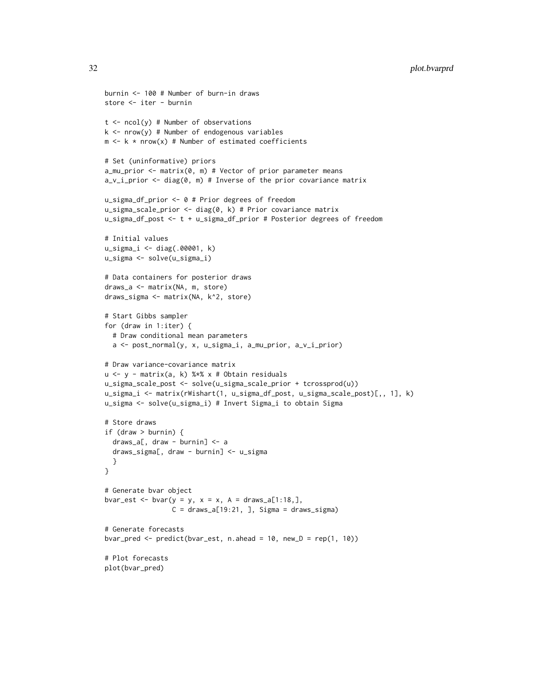```
burnin <- 100 # Number of burn-in draws
store <- iter - burnin
t \le -\text{ncol}(y) # Number of observations
k \le - nrow(y) # Number of endogenous variables
m \leq k \times nrow(x) # Number of estimated coefficients
# Set (uninformative) priors
a_mu_prior <- matrix(0, m) # Vector of prior parameter means
a_v_i_prior <- diag(0, m) # Inverse of the prior covariance matrix
u_sigma_df_prior <- 0 # Prior degrees of freedom
u_sigma_scale_prior <- diag(0, k) # Prior covariance matrix
u_sigma_df_post <- t + u_sigma_df_prior # Posterior degrees of freedom
# Initial values
u_sigma_i <- diag(.00001, k)
u_sigma <- solve(u_sigma_i)
# Data containers for posterior draws
draws_a <- matrix(NA, m, store)
draws_sigma <- matrix(NA, k^2, store)
# Start Gibbs sampler
for (draw in 1:iter) {
  # Draw conditional mean parameters
  a <- post_normal(y, x, u_sigma_i, a_mu_prior, a_v_i_prior)
# Draw variance-covariance matrix
u <- y - matrix(a, k) %*% x # Obtain residuals
u_sigma_scale_post <- solve(u_sigma_scale_prior + tcrossprod(u))
u_sigma_i <- matrix(rWishart(1, u_sigma_df_post, u_sigma_scale_post)[,, 1], k)
u_sigma <- solve(u_sigma_i) # Invert Sigma_i to obtain Sigma
# Store draws
if (draw > burnin) {
  draws_a[, draw - burnin] <- a
  draws_sigma[, draw - burnin] <- u_sigma
  }
}
# Generate bvar object
bvar_est <- bvar(y = y, x = x, A = \text{draws}_a[1:18,],C = \text{draws}_a[19:21, ], Sigma = draws_sigma)
# Generate forecasts
bvar_pred <- predict(bvar_est, n.ahead = 10, new_D = rep(1, 10))
# Plot forecasts
plot(bvar_pred)
```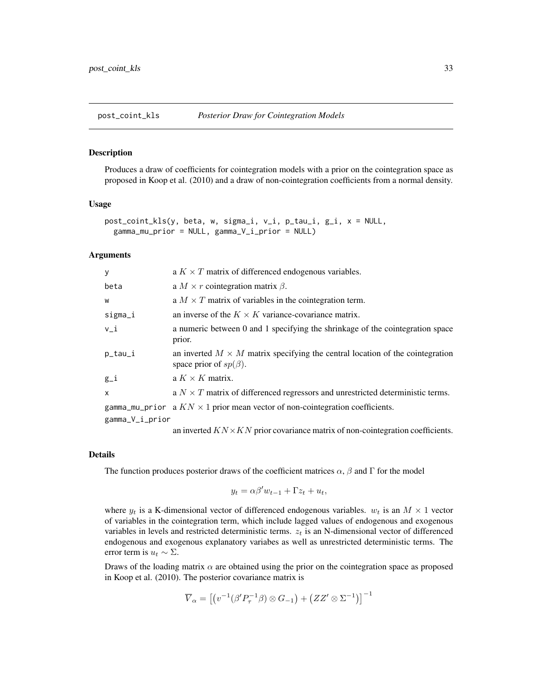<span id="page-32-0"></span>

#### Description

Produces a draw of coefficients for cointegration models with a prior on the cointegration space as proposed in Koop et al. (2010) and a draw of non-cointegration coefficients from a normal density.

# Usage

```
post_coint_kls(y, beta, w, sigma_i, v_i, p_tau_i, g_i, x = NULL,
 gamma_mu_prior = NULL, gamma_V_i_prior = NULL)
```
# Arguments

| У               | a $K \times T$ matrix of differenced endogenous variables.                                                           |
|-----------------|----------------------------------------------------------------------------------------------------------------------|
| beta            | a $M \times r$ cointegration matrix $\beta$ .                                                                        |
| W               | a $M \times T$ matrix of variables in the cointegration term.                                                        |
| sigma_i         | an inverse of the $K \times K$ variance-covariance matrix.                                                           |
| $v_i$           | a numeric between 0 and 1 specifying the shrinkage of the cointegration space<br>prior.                              |
| p_tau_i         | an inverted $M \times M$ matrix specifying the central location of the cointegration<br>space prior of $sp(\beta)$ . |
| $g_i$           | a $K \times K$ matrix.                                                                                               |
| $\mathsf{x}$    | a $N \times T$ matrix of differenced regressors and unrestricted deterministic terms.                                |
|                 | gamma_mu_prior a $KN \times 1$ prior mean vector of non-cointegration coefficients.                                  |
| gamma_V_i_prior |                                                                                                                      |
|                 | on invested $V N_{\mathcal{N}} V N_{\mathcal{N}}$ with coverience metrix of non-cointequation coefficients           |

an inverted  $KN \times KN$  prior covariance matrix of non-cointegration coefficients.

# Details

The function produces posterior draws of the coefficient matrices  $\alpha$ ,  $\beta$  and  $\Gamma$  for the model

$$
y_t = \alpha \beta' w_{t-1} + \Gamma z_t + u_t,
$$

where  $y_t$  is a K-dimensional vector of differenced endogenous variables.  $w_t$  is an  $M \times 1$  vector of variables in the cointegration term, which include lagged values of endogenous and exogenous variables in levels and restricted deterministic terms.  $z_t$  is an N-dimensional vector of differenced endogenous and exogenous explanatory variabes as well as unrestricted deterministic terms. The error term is  $u_t \sim \Sigma$ .

Draws of the loading matrix  $\alpha$  are obtained using the prior on the cointegration space as proposed in Koop et al. (2010). The posterior covariance matrix is

$$
\overline{V}_{\alpha}=\left[\left(v^{-1}(\beta'P_{\tau}^{-1}\beta)\otimes G_{-1}\right)+\left(ZZ'\otimes\Sigma^{-1}\right)\right]^{-1}
$$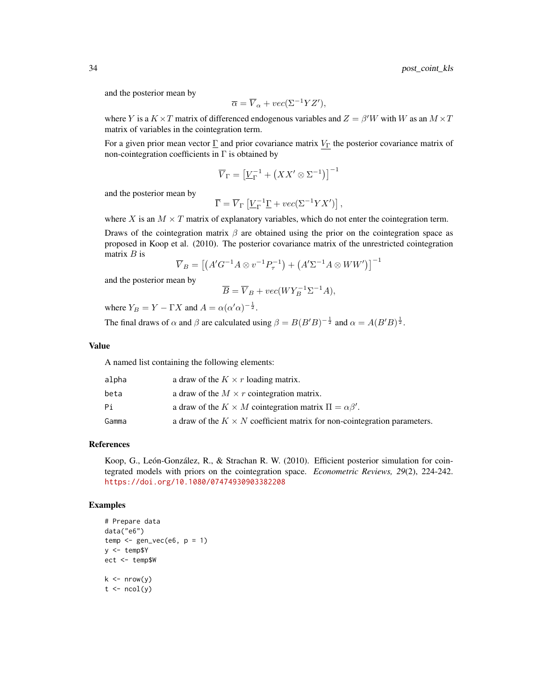and the posterior mean by

$$
\overline{\alpha} = \overline{V}_{\alpha} + vec(\Sigma^{-1} Y Z'),
$$

where Y is a  $K \times T$  matrix of differenced endogenous variables and  $Z = \beta'W$  with W as an  $M \times T$ matrix of variables in the cointegration term.

For a given prior mean vector  $\underline{\Gamma}$  and prior covariance matrix  $V_{\Gamma}$  the posterior covariance matrix of non-cointegration coefficients in  $\Gamma$  is obtained by

$$
\overline{V}_{\Gamma} = \left[\underline{V}_{\Gamma}^{-1} + \left(XX' \otimes \Sigma^{-1}\right)\right]^{-1}
$$

and the posterior mean by

$$
\overline{\Gamma} = \overline{V}_{\Gamma} \left[ \underline{V}_{\Gamma}^{-1} \underline{\Gamma} + vec(\Sigma^{-1} Y X') \right],
$$

where X is an  $M \times T$  matrix of explanatory variables, which do not enter the cointegration term.

Draws of the cointegration matrix  $\beta$  are obtained using the prior on the cointegration space as proposed in Koop et al. (2010). The posterior covariance matrix of the unrestricted cointegration matrix  $B$  is

$$
\overline{V}_B = \left[ \left( A' G^{-1} A \otimes v^{-1} P_{\tau}^{-1} \right) + \left( A' \Sigma^{-1} A \otimes WW' \right) \right]^{-1}
$$

and the posterior mean by

$$
\overline{B} = \overline{V}_B + vec(WY_B^{-1} \Sigma^{-1} A),
$$

where  $Y_B = Y - \Gamma X$  and  $A = \alpha(\alpha' \alpha)^{-\frac{1}{2}}$ .

The final draws of  $\alpha$  and  $\beta$  are calculated using  $\beta = B(B'B)^{-\frac{1}{2}}$  and  $\alpha = A(B'B)^{\frac{1}{2}}$ .

# Value

A named list containing the following elements:

| alpha | a draw of the $K \times r$ loading matrix.                                      |
|-------|---------------------------------------------------------------------------------|
| beta  | a draw of the $M \times r$ cointegration matrix.                                |
| Рi    | a draw of the $K \times M$ cointegration matrix $\Pi = \alpha \beta'$ .         |
| Gamma | a draw of the $K \times N$ coefficient matrix for non-cointegration parameters. |

# References

Koop, G., León-González, R., & Strachan R. W. (2010). Efficient posterior simulation for cointegrated models with priors on the cointegration space. *Econometric Reviews, 29*(2), 224-242. <https://doi.org/10.1080/07474930903382208>

```
# Prepare data
data("e6")
temp \leq-gen\_vec(e6, p = 1)y <- temp$Y
ect <- temp$W
k \leq -nrow(y)t \leq -ncol(y)
```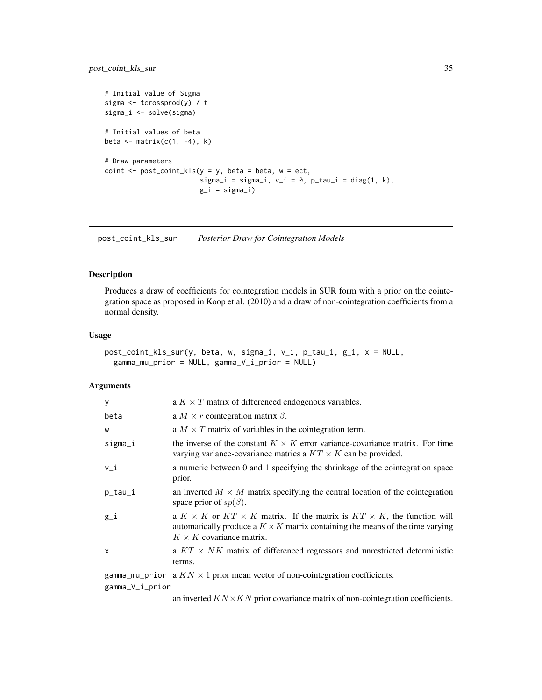```
# Initial value of Sigma
sigma <- tcrossprod(y) / t
sigma_i <- solve(sigma)
# Initial values of beta
beta \leq matrix(c(1, -4), k)
# Draw parameters
\text{coint} \leq -\text{post\_coint\_kls}(y = y, \text{ beta} = \text{ beta}, \text{ w} = \text{ect},sigma_i = sigma_i, v_i = 0, p_i_tau_i = diag(1, k),
                             g_i = sign(a_i)
```
post\_coint\_kls\_sur *Posterior Draw for Cointegration Models*

# Description

Produces a draw of coefficients for cointegration models in SUR form with a prior on the cointegration space as proposed in Koop et al. (2010) and a draw of non-cointegration coefficients from a normal density.

# Usage

```
post_coint_kls_sur(y, beta, w, sigma_i, v_i, p_tau_i, g_i, x = NULL,
 gamma_mu_prior = NULL, gamma_V_i_prior = NULL)
```
# Arguments

| У       | a $K \times T$ matrix of differenced endogenous variables.                                                                                                                                                            |
|---------|-----------------------------------------------------------------------------------------------------------------------------------------------------------------------------------------------------------------------|
| beta    | a $M \times r$ cointegration matrix $\beta$ .                                                                                                                                                                         |
| W       | a $M \times T$ matrix of variables in the cointegration term.                                                                                                                                                         |
| sigma_i | the inverse of the constant $K \times K$ error variance-covariance matrix. For time<br>varying variance-covariance matrics a $KT \times K$ can be provided.                                                           |
| $v_i$   | a numeric between 0 and 1 specifying the shrinkage of the cointegration space<br>prior.                                                                                                                               |
| p_tau_i | an inverted $M \times M$ matrix specifying the central location of the cointegration<br>space prior of $sp(\beta)$ .                                                                                                  |
| g_i     | a $K \times K$ or $KT \times K$ matrix. If the matrix is $KT \times K$ , the function will<br>automatically produce a $K \times K$ matrix containing the means of the time varying<br>$K \times K$ covariance matrix. |
| x       | a $KT \times NK$ matrix of differenced regressors and unrestricted deterministic<br>terms.                                                                                                                            |
|         | gamma_mu_prior a $KN \times 1$ prior mean vector of non-cointegration coefficients.                                                                                                                                   |

gamma\_V\_i\_prior

an inverted  $KN \times KN$  prior covariance matrix of non-cointegration coefficients.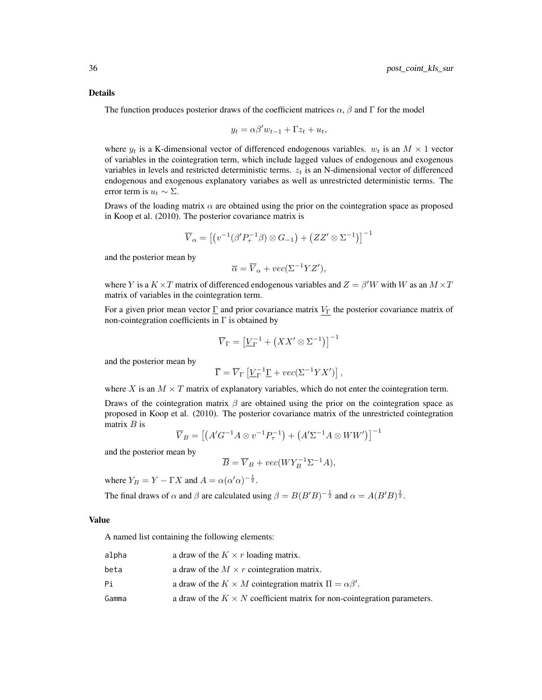#### Details

The function produces posterior draws of the coefficient matrices  $\alpha$ ,  $\beta$  and  $\Gamma$  for the model

$$
y_t = \alpha \beta' w_{t-1} + \Gamma z_t + u_t,
$$

where  $y_t$  is a K-dimensional vector of differenced endogenous variables.  $w_t$  is an  $M \times 1$  vector of variables in the cointegration term, which include lagged values of endogenous and exogenous variables in levels and restricted deterministic terms.  $z_t$  is an N-dimensional vector of differenced endogenous and exogenous explanatory variabes as well as unrestricted deterministic terms. The error term is  $u_t \sim \Sigma$ .

Draws of the loading matrix  $\alpha$  are obtained using the prior on the cointegration space as proposed in Koop et al. (2010). The posterior covariance matrix is

$$
\overline{V}_{\alpha} = \left[ \left( v^{-1} (\beta' P_{\tau}^{-1} \beta) \otimes G_{-1} \right) + \left( Z Z' \otimes \Sigma^{-1} \right) \right]^{-1}
$$

and the posterior mean by

$$
\overline{\alpha} = \overline{V}_{\alpha} + vec(\Sigma^{-1} Y Z'),
$$

where Y is a  $K \times T$  matrix of differenced endogenous variables and  $Z = \beta'W$  with W as an  $M \times T$ matrix of variables in the cointegration term.

For a given prior mean vector  $\underline{\Gamma}$  and prior covariance matrix  $V_{\Gamma}$  the posterior covariance matrix of non-cointegration coefficients in  $\Gamma$  is obtained by

$$
\overline{V}_{\Gamma} = \left[ \underline{V}_{\Gamma}^{-1} + \left( X X' \otimes \Sigma^{-1} \right) \right]^{-1}
$$

and the posterior mean by

$$
\overline{\Gamma} = \overline{V}_{\Gamma} \left[ \underline{V}_{\Gamma}^{-1} \underline{\Gamma} + vec(\Sigma^{-1} Y X') \right],
$$

where X is an  $M \times T$  matrix of explanatory variables, which do not enter the cointegration term.

Draws of the cointegration matrix  $\beta$  are obtained using the prior on the cointegration space as proposed in Koop et al. (2010). The posterior covariance matrix of the unrestricted cointegration matrix  $B$  is

$$
\overline{V}_B = \left[ \left( A' G^{-1} A \otimes v^{-1} P_{\tau}^{-1} \right) + \left( A' \Sigma^{-1} A \otimes W W' \right) \right]^{-1}
$$

and the posterior mean by

$$
\overline{B} = \overline{V}_B + vec(WY_B^{-1} \Sigma^{-1} A),
$$

where  $Y_B = Y - \Gamma X$  and  $A = \alpha(\alpha' \alpha)^{-\frac{1}{2}}$ .

The final draws of  $\alpha$  and  $\beta$  are calculated using  $\beta = B(B'B)^{-\frac{1}{2}}$  and  $\alpha = A(B'B)^{\frac{1}{2}}$ .

#### Value

A named list containing the following elements:

| alpha | a draw of the $K \times r$ loading matrix.                                      |
|-------|---------------------------------------------------------------------------------|
| beta  | a draw of the $M \times r$ cointegration matrix.                                |
| Рi    | a draw of the $K \times M$ cointegration matrix $\Pi = \alpha \beta'$ .         |
| Gamma | a draw of the $K \times N$ coefficient matrix for non-cointegration parameters. |
|       |                                                                                 |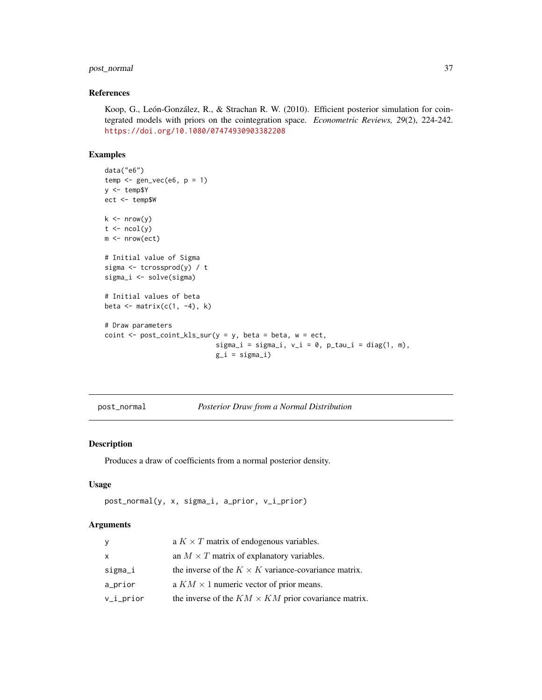# <span id="page-36-0"></span>post\_normal 37

#### References

Koop, G., León-González, R., & Strachan R. W. (2010). Efficient posterior simulation for cointegrated models with priors on the cointegration space. *Econometric Reviews, 29*(2), 224-242. <https://doi.org/10.1080/07474930903382208>

# Examples

```
data("e6")
temp \leftarrow gen\_vec(e6, p = 1)y <- temp$Y
ect <- temp$W
k \leq -nrow(y)t \leftarrow \text{ncol}(y)m <- nrow(ect)
# Initial value of Sigma
sigma <- tcrossprod(y) / t
sigma_i <- solve(sigma)
# Initial values of beta
beta \leq matrix(c(1, -4), k)
# Draw parameters
coint \leq post_coint_kls_sur(y = y, beta = beta, w = ect,
                              sigma_i = sigma_i, v_i = 0, p_tau_i = diag(1, m),g_i = sign_{i}
```
post\_normal *Posterior Draw from a Normal Distribution*

# Description

Produces a draw of coefficients from a normal posterior density.

# Usage

```
post_normal(y, x, sigma_i, a_prior, v_i_prior)
```
#### Arguments

| y            | a $K \times T$ matrix of endogenous variables.              |
|--------------|-------------------------------------------------------------|
| $\mathsf{x}$ | an $M \times T$ matrix of explanatory variables.            |
| sigma_i      | the inverse of the $K \times K$ variance-covariance matrix. |
| a_prior      | a $KM \times 1$ numeric vector of prior means.              |
| $v_i_p$ rior | the inverse of the $KM \times KM$ prior covariance matrix.  |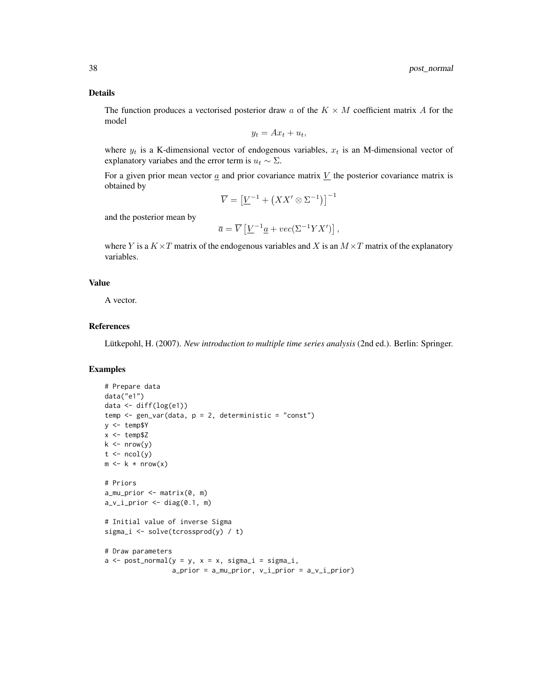# Details

The function produces a vectorised posterior draw a of the  $K \times M$  coefficient matrix A for the model

$$
y_t = Ax_t + u_t,
$$

where  $y_t$  is a K-dimensional vector of endogenous variables,  $x_t$  is an M-dimensional vector of explanatory variabes and the error term is  $u_t \sim \Sigma$ .

For a given prior mean vector  $\alpha$  and prior covariance matrix V the posterior covariance matrix is obtained by

$$
\overline{V} = \left[\underline{V}^{-1} + \left(XX' \otimes \Sigma^{-1}\right)\right]^{-1}
$$

and the posterior mean by

$$
\overline{a} = \overline{V} \left[ \underline{V}^{-1} \underline{a} + vec(\Sigma^{-1} Y X') \right],
$$

where Y is a  $K \times T$  matrix of the endogenous variables and X is an  $M \times T$  matrix of the explanatory variables.

# Value

A vector.

# References

Lütkepohl, H. (2007). *New introduction to multiple time series analysis* (2nd ed.). Berlin: Springer.

```
# Prepare data
data("e1")
data \leq diff(log(e1))
temp \leq gen_var(data, p = 2, deterministic = "const")
y <- temp$Y
x <- temp$Z
k \leq -nrow(y)t \leftarrow \text{ncol}(y)m \leftarrow k * nrow(x)# Priors
a_mu_prior \leq matrix(0, m)a_v_i_p-prior \leq diag(0.1, m)
# Initial value of inverse Sigma
sigma_i <- solve(tcrossprod(y) / t)
# Draw parameters
a \leq post\_normal(y = y, x = x, sigma_i = sigma_i,a_prior = a_mu<sub>p</sub>rior, v_i<sub>p</sub>rior = a_v<sub>ip</sub>rior)
```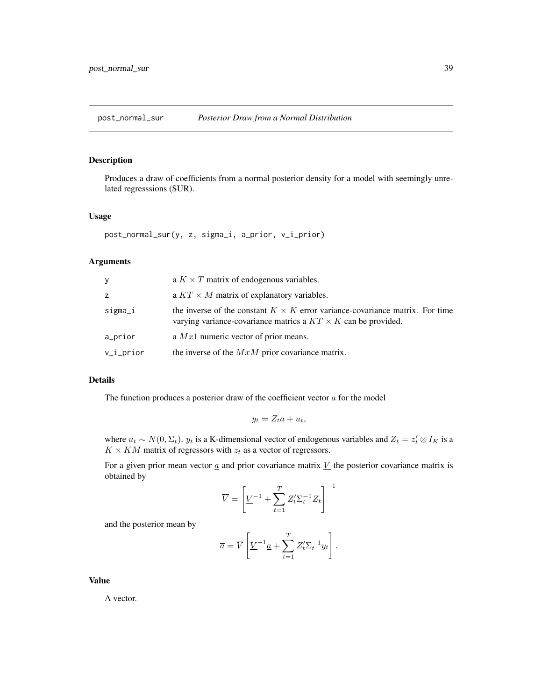<span id="page-38-0"></span>post\_normal\_sur *Posterior Draw from a Normal Distribution*

# Description

Produces a draw of coefficients from a normal posterior density for a model with seemingly unrelated regresssions (SUR).

#### Usage

```
post_normal_sur(y, z, sigma_i, a_prior, v_i_prior)
```
# Arguments

| У            | a $K \times T$ matrix of endogenous variables.                                                                                                              |
|--------------|-------------------------------------------------------------------------------------------------------------------------------------------------------------|
| z            | a $KT \times M$ matrix of explanatory variables.                                                                                                            |
| sigma_i      | the inverse of the constant $K \times K$ error variance-covariance matrix. For time<br>varying variance-covariance matrics a $KT \times K$ can be provided. |
| a_prior      | a $Mx1$ numeric vector of prior means.                                                                                                                      |
| $v_i_p$ rior | the inverse of the $MxM$ prior covariance matrix.                                                                                                           |

# Details

The function produces a posterior draw of the coefficient vector  $a$  for the model

$$
y_t = Z_t a + u_t,
$$

where  $u_t \sim N(0, \Sigma_t)$ .  $y_t$  is a K-dimensional vector of endogenous variables and  $Z_t = z_t' \otimes I_K$  is a  $K \times KM$  matrix of regressors with  $z_t$  as a vector of regressors.

For a given prior mean vector  $\underline{a}$  and prior covariance matrix  $\underline{V}$  the posterior covariance matrix is obtained by

$$
\overline{V} = \left[ \underline{V}^{-1} + \sum_{t=1}^T Z_t' \Sigma_t^{-1} Z_t \right]^{-1}
$$

and the posterior mean by

$$
\overline{a} = \overline{V} \left[ \underline{V}^{-1} \underline{a} + \sum_{t=1}^{T} Z_t^{\prime} \Sigma_t^{-1} y_t \right].
$$

Value

A vector.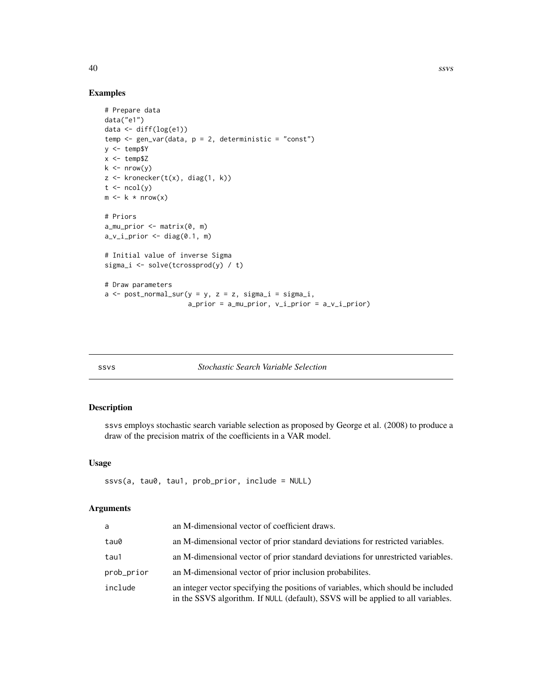40 ssvs

# Examples

```
# Prepare data
data("e1")
data <- diff(log(e1))
temp <- gen_var(data, p = 2, deterministic = "const")
y <- temp$Y
x < - temp$Z
k \leq -nrow(y)z \leftarrow kronecker(t(x), diag(1, k))
t \leftarrow \text{ncol}(y)m \leftarrow k * nrow(x)# Priors
a_mu_prior <- matrix(0, m)
a_v_i_p-prior \leq diag(0.1, m)
# Initial value of inverse Sigma
sigma_i <- solve(tcrossprod(y) / t)
# Draw parameters
a \leftarrow post\_normal\_sur(y = y, z = z, sigma_i = sigma_i,a_prior = a_mu_prior, v_i_prior = a_v_i_prior)
```

| I<br>$\sim$ | I<br>M. | × |  |
|-------------|---------|---|--|

# ssvs *Stochastic Search Variable Selection*

# Description

ssvs employs stochastic search variable selection as proposed by George et al. (2008) to produce a draw of the precision matrix of the coefficients in a VAR model.

# Usage

```
ssvs(a, tau0, tau1, prob_prior, include = NULL)
```
# Arguments

| a          | an M-dimensional vector of coefficient draws.                                                                                                                         |
|------------|-----------------------------------------------------------------------------------------------------------------------------------------------------------------------|
| tau0       | an M-dimensional vector of prior standard deviations for restricted variables.                                                                                        |
| tau1       | an M-dimensional vector of prior standard deviations for unrestricted variables.                                                                                      |
| prob_prior | an M-dimensional vector of prior inclusion probabilities.                                                                                                             |
| include    | an integer vector specifying the positions of variables, which should be included<br>in the SSVS algorithm. If NULL (default), SSVS will be applied to all variables. |

<span id="page-39-0"></span>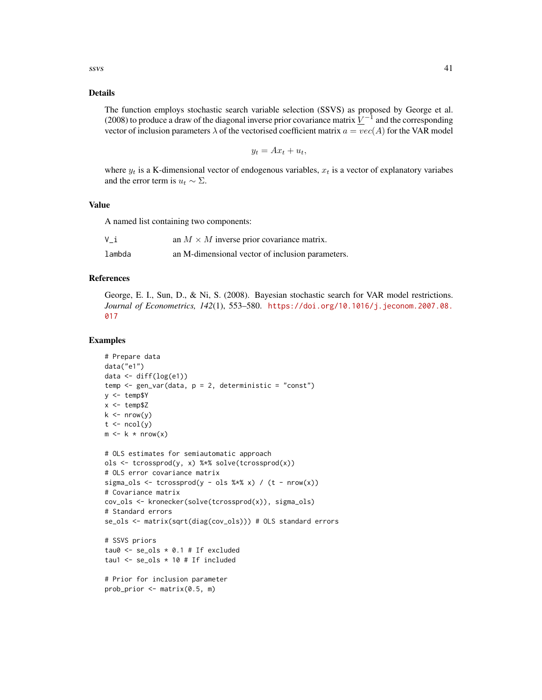# Details

The function employs stochastic search variable selection (SSVS) as proposed by George et al. (2008) to produce a draw of the diagonal inverse prior covariance matrix  $\underline{V}^{-1}$  and the corresponding vector of inclusion parameters  $\lambda$  of the vectorised coefficient matrix  $a = vec(A)$  for the VAR model

$$
y_t = Ax_t + u_t,
$$

where  $y_t$  is a K-dimensional vector of endogenous variables,  $x_t$  is a vector of explanatory variabes and the error term is  $u_t \sim \Sigma$ .

#### Value

A named list containing two components:

| V i    | an $M \times M$ inverse prior covariance matrix. |
|--------|--------------------------------------------------|
| lambda | an M-dimensional vector of inclusion parameters. |

#### References

George, E. I., Sun, D., & Ni, S. (2008). Bayesian stochastic search for VAR model restrictions. *Journal of Econometrics, 142*(1), 553–580. [https://doi.org/10.1016/j.jeconom.2007.08.](https://doi.org/10.1016/j.jeconom.2007.08.017) [017](https://doi.org/10.1016/j.jeconom.2007.08.017)

```
# Prepare data
data("e1")
data \leq diff(log(e1))
temp \leq gen_var(data, p = 2, deterministic = "const")
y <- temp$Y
x < - temp$Z
k \leq -nrow(y)t \leftarrow \text{ncol}(y)m \leftarrow k * nrow(x)# OLS estimates for semiautomatic approach
ols <- tcrossprod(y, x) %*% solve(tcrossprod(x))
# OLS error covariance matrix
sigma_ols <- tcrossprod(y - ols % x x) / (t - nrow(x))
# Covariance matrix
cov\_ols \leftarrow kronecker(solve(tcrossprod(x)), sigma_ols)
# Standard errors
se_ols <- matrix(sqrt(diag(cov_ols))) # OLS standard errors
# SSVS priors
tau0 \leq se_ols * 0.1 # If excludedtau1 <- se\_ols * 10 # If included# Prior for inclusion parameter
```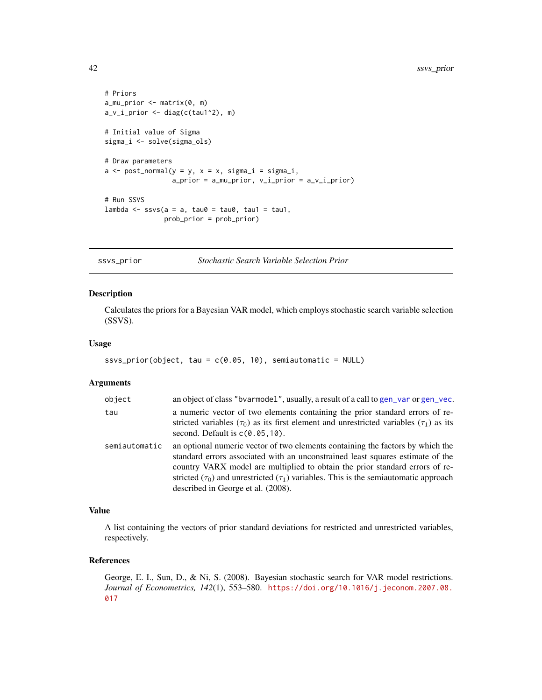```
# Priors
a_mu_prior <- matrix(0, m)
a_v_i_prior <- diag(c(tau1^2), m)
# Initial value of Sigma
sigma_i <- solve(sigma_ols)
# Draw parameters
a \leq post\_normal(y = y, x = x, sigma_i = sigma_i,a_prior = a_mu<sub>p</sub>rior, v_i<sub>p</sub>rior = a_v<sub>1</sub>_prior)
# Run SSVS
lambda \leq ssvs(a = a, tau0 = tau0, tau1 = tau1,
                 prob_prior = prob_prior)
```
ssvs\_prior *Stochastic Search Variable Selection Prior*

#### Description

Calculates the priors for a Bayesian VAR model, which employs stochastic search variable selection (SSVS).

# Usage

```
ssvs_prior(object, tau = c(0.05, 10), semiautomatic = NULL)
```
#### Arguments

| object        | an object of class "bvarmodel", usually, a result of a call to gen_var or gen_vec.                                                                                                                                                                                                                                                                                                      |
|---------------|-----------------------------------------------------------------------------------------------------------------------------------------------------------------------------------------------------------------------------------------------------------------------------------------------------------------------------------------------------------------------------------------|
| tau           | a numeric vector of two elements containing the prior standard errors of re-<br>stricted variables ( $\tau_0$ ) as its first element and unrestricted variables ( $\tau_1$ ) as its<br>second. Default is $c(0.05, 10)$ .                                                                                                                                                               |
| semiautomatic | an optional numeric vector of two elements containing the factors by which the<br>standard errors associated with an unconstrained least squares estimate of the<br>country VARX model are multiplied to obtain the prior standard errors of re-<br>stricted $(\tau_0)$ and unrestricted $(\tau_1)$ variables. This is the semiautomatic approach<br>described in George et al. (2008). |

# Value

A list containing the vectors of prior standard deviations for restricted and unrestricted variables, respectively.

# References

George, E. I., Sun, D., & Ni, S. (2008). Bayesian stochastic search for VAR model restrictions. *Journal of Econometrics, 142*(1), 553–580. [https://doi.org/10.1016/j.jeconom.2007.08.](https://doi.org/10.1016/j.jeconom.2007.08.017) [017](https://doi.org/10.1016/j.jeconom.2007.08.017)

<span id="page-41-0"></span>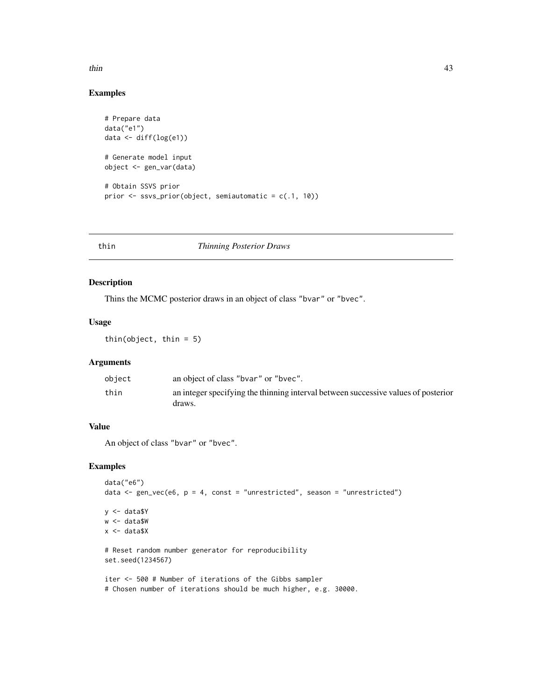<span id="page-42-0"></span> $t$ hin  $\frac{43}{2}$ 

# Examples

```
# Prepare data
data("e1")
data <- diff(log(e1))
# Generate model input
object <- gen_var(data)
# Obtain SSVS prior
prior <- ssvs_prior(object, semiautomatic = c(.1, 10))
```
# thin *Thinning Posterior Draws*

# Description

Thins the MCMC posterior draws in an object of class "bvar" or "bvec".

# Usage

thin(object, thin = 5)

# Arguments

| object | an object of class "byar" or "byec".                                                         |
|--------|----------------------------------------------------------------------------------------------|
| thin   | an integer specifying the thinning interval between successive values of posterior<br>draws. |

# Value

An object of class "bvar" or "bvec".

```
data("e6")
data \leq gen_vec(e6, p = 4, const = "unrestricted", season = "unrestricted")
y <- data$Y
w <- data$W
x <- data$X
# Reset random number generator for reproducibility
set.seed(1234567)
iter <- 500 # Number of iterations of the Gibbs sampler
# Chosen number of iterations should be much higher, e.g. 30000.
```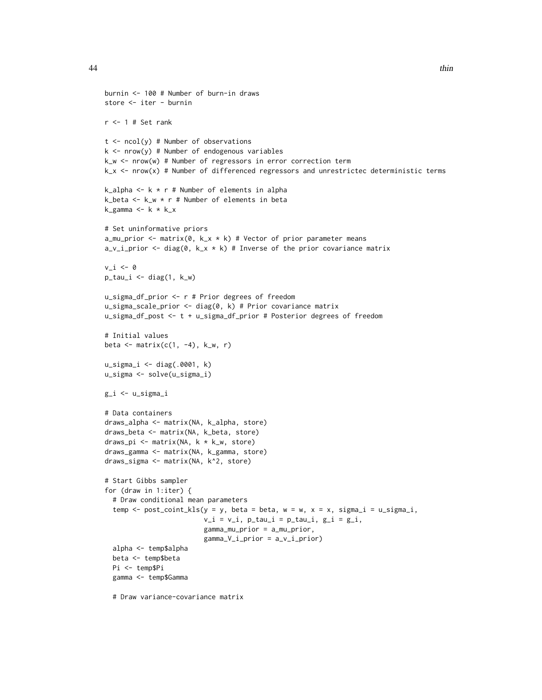```
burnin <- 100 # Number of burn-in draws
store <- iter - burnin
r < -1 # Set rank
t \le ncol(y) # Number of observations
k \le - nrow(y) # Number of endogenous variables
k_w <- nrow(w) # Number of regressors in error correction term
k_x <- nrow(x) # Number of differenced regressors and unrestrictec deterministic terms
k_alpha <- k * r # Number of elements in alpha
k_beta <- k_w * r # Number of elements in beta
k_{g}amma <- k * k_{x}# Set uninformative priors
a_mu_prior <- matrix(0, k_x * k) # Vector of prior parameter means
a_v_i-prior <- diag(0, k_x * k) # Inverse of the prior covariance matrix
v_i < -\emptysetp\_tau_i \leftarrow diag(1, k_w)u_sigma_df_prior <- r # Prior degrees of freedom
u_sigma_scale_prior <- diag(0, k) # Prior covariance matrix
u_sigma_df_post <- t + u_sigma_df_prior # Posterior degrees of freedom
# Initial values
beta \leq matrix(c(1, -4), k_w, r)
u_sigma_i <- diag(.0001, k)
u_sigma <- solve(u_sigma_i)
g_i <- u_sigma_i
# Data containers
draws_alpha <- matrix(NA, k_alpha, store)
draws_beta <- matrix(NA, k_beta, store)
draws_pi <- matrix(NA, k * k_w, store)
draws_gamma <- matrix(NA, k_gamma, store)
draws_sigma <- matrix(NA, k^2, store)
# Start Gibbs sampler
for (draw in 1:iter) {
  # Draw conditional mean parameters
  temp \le post_coint_kls(y = y, beta = beta, w = w, x = x, sigma_i = u_sigma_i,
                         v_i = v_i, p_tau_i = p_tau_i, g_i = g_i,
                         gamma_mu_prior = a_mu_prior,
                         gamma_V_i_prior = a_v_i_prior)
  alpha <- temp$alpha
  beta <- temp$beta
  Pi <- temp$Pi
  gamma <- temp$Gamma
```
# Draw variance-covariance matrix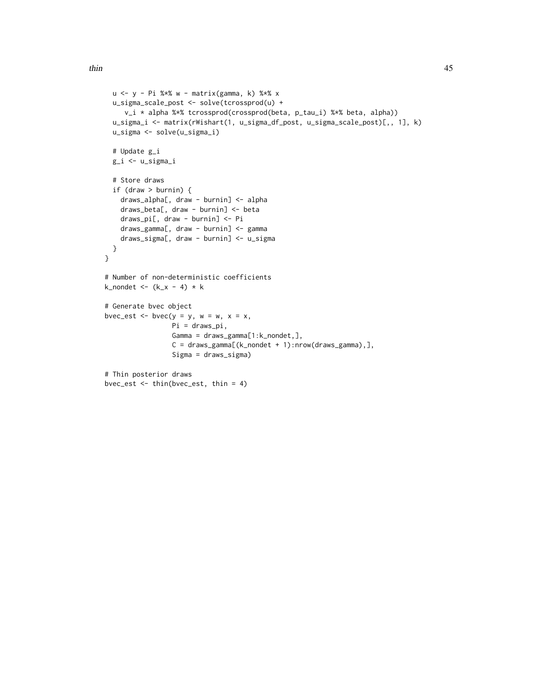```
u <- y - Pi %*% w - matrix(gamma, k) %*% x
  u_sigma_scale_post <- solve(tcrossprod(u) +
     v_i * alpha %*% tcrossprod(crossprod(beta, p_tau_i) %*% beta, alpha))
  u_sigma_i <- matrix(rWishart(1, u_sigma_df_post, u_sigma_scale_post)[,, 1], k)
  u_sigma <- solve(u_sigma_i)
  # Update g_i
  g_i <- u_sigma_i
  # Store draws
  if (draw > burnin) {
   draws_alpha[, draw - burnin] <- alpha
    draws_beta[, draw - burnin] <- beta
    draws_pi[, draw - burnin] <- Pi
   draws_gamma[, draw - burnin] <- gamma
   draws_sigma[, draw - burnin] <- u_sigma
  }
}
# Number of non-deterministic coefficients
k_nondet <- (k_x - 4) * k# Generate bvec object
bvec_est <- bvec(y = y, w = w, x = x,
                 Pi = draws_pi,
                 Gamma = draws_gamma[1:k_nondet,],
                 C = \text{draws\_gamma}[(k\_nondet + 1):nrow(\text{draws\_gamma}),],Sigma = draws_sigma)
# Thin posterior draws
bvec_est <- thin(bvec_est, thin = 4)
```